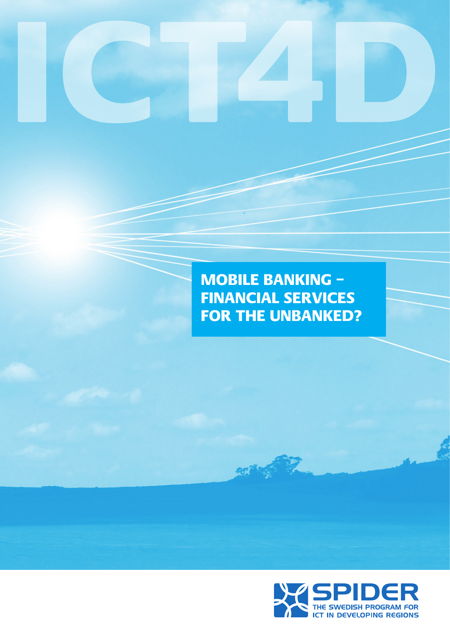# MOBILE BANKING – FINANCIAL SERVICES FOR THE UNBANKED?

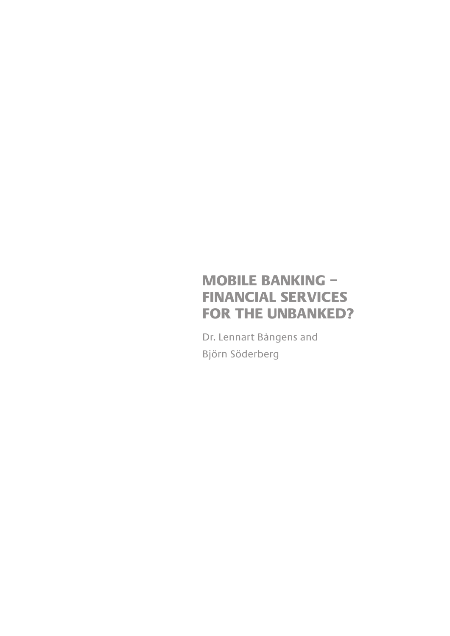# MOBILE BANKING – FINANCIAL SERVICES FOR THE UNBANKED?

Dr. Lennart Bångens and Björn Söderberg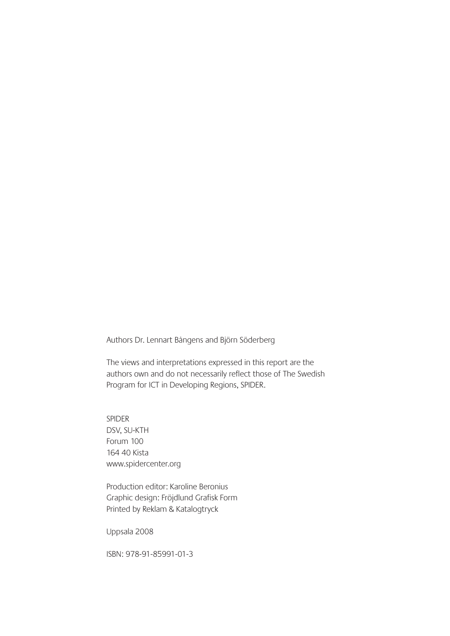Authors Dr. Lennart Bångens and Björn Söderberg

The views and interpretations expressed in this report are the authors own and do not necessarily reflect those of The Swedish Program for ICT in Developing Regions, SPIDER.

SPIDER DSV, SU-KTH Forum 100 164 40 Kista www.spidercenter.org

Production editor: Karoline Beronius Graphic design: Fröjdlund Grafisk Form Printed by Reklam & Katalogtryck

Uppsala 2008

ISBN: 978-91-85991-01-3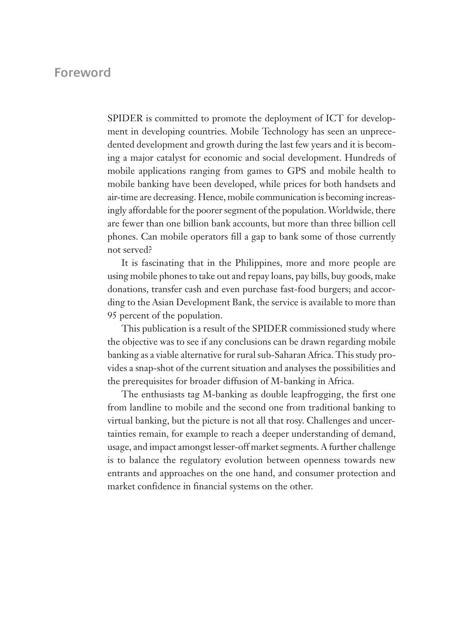# **Foreword**

SPIDER is committed to promote the deployment of ICT for development in developing countries. Mobile Technology has seen an unprecedented development and growth during the last few years and it is becoming a major catalyst for economic and social development. Hundreds of mobile applications ranging from games to GPS and mobile health to mobile banking have been developed, while prices for both handsets and air-time are decreasing. Hence, mobile communication is becoming increasingly affordable for the poorer segment of the population. Worldwide, there are fewer than one billion bank accounts, but more than three billion cell phones. Can mobile operators fill a gap to bank some of those currently not served?

It is fascinating that in the Philippines, more and more people are using mobile phones to take out and repay loans, pay bills, buy goods, make donations, transfer cash and even purchase fast-food burgers; and according to the Asian Development Bank, the service is available to more than 95 percent of the population.

This publication is a result of the SPIDER commissioned study where the objective was to see if any conclusions can be drawn regarding mobile banking as a viable alternative for rural sub-Saharan Africa. This study provides a snap-shot of the current situation and analyses the possibilities and the prerequisites for broader diffusion of M-banking in Africa.

The enthusiasts tag M-banking as double leapfrogging, the first one from landline to mobile and the second one from traditional banking to virtual banking, but the picture is not all that rosy. Challenges and uncertainties remain, for example to reach a deeper understanding of demand, usage, and impact amongst lesser-off market segments. A further challenge is to balance the regulatory evolution between openness towards new entrants and approaches on the one hand, and consumer protection and market confidence in financial systems on the other.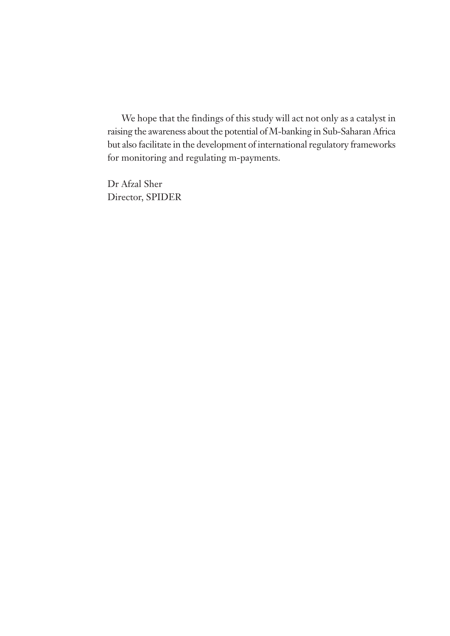We hope that the findings of this study will act not only as a catalyst in raising the awareness about the potential of M-banking in Sub-Saharan Africa but also facilitate in the development of international regulatory frameworks for monitoring and regulating m-payments.

Dr Afzal Sher Director, SPIDER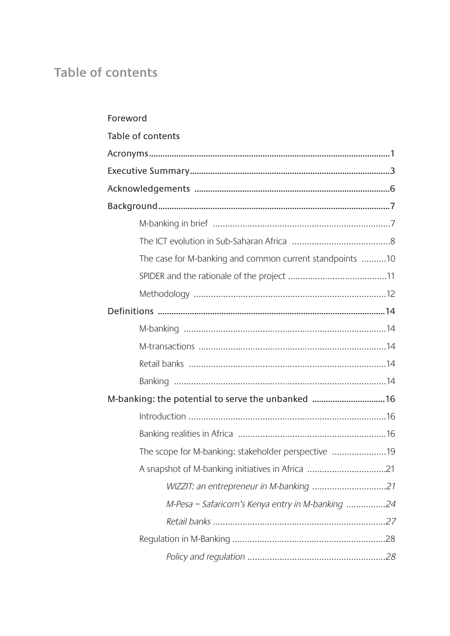# Table of contents

| Foreword                                                 |  |
|----------------------------------------------------------|--|
| Table of contents                                        |  |
|                                                          |  |
|                                                          |  |
|                                                          |  |
|                                                          |  |
|                                                          |  |
|                                                          |  |
| The case for M-banking and common current standpoints 10 |  |
|                                                          |  |
|                                                          |  |
|                                                          |  |
|                                                          |  |
|                                                          |  |
|                                                          |  |
|                                                          |  |
| M-banking: the potential to serve the unbanked 16        |  |
|                                                          |  |
|                                                          |  |
| The scope for M-banking: stakeholder perspective 19      |  |
| A snapshot of M-banking initiatives in Africa 21         |  |
|                                                          |  |
| M-Pesa - Safaricom's Kenya entry in M-banking 24         |  |
|                                                          |  |
|                                                          |  |
|                                                          |  |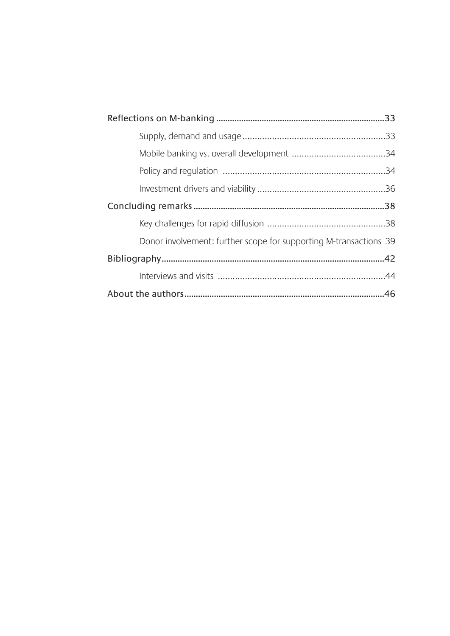| Donor involvement: further scope for supporting M-transactions 39 |  |
|-------------------------------------------------------------------|--|
|                                                                   |  |
|                                                                   |  |
|                                                                   |  |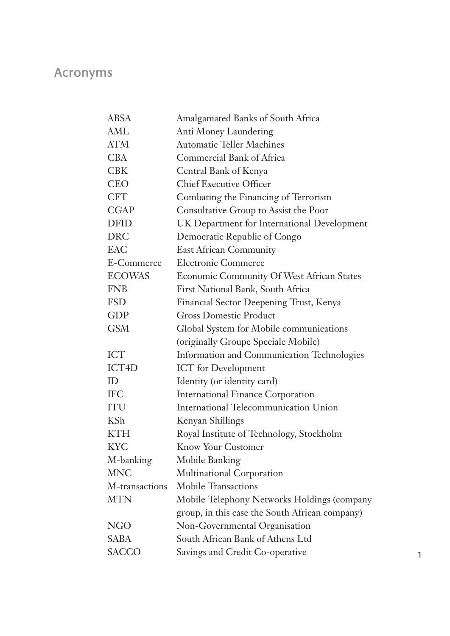# **Acronyms**

| <b>ABSA</b>        | Amalgamated Banks of South Africa              |
|--------------------|------------------------------------------------|
| AML                | Anti Money Laundering                          |
| ATM                | <b>Automatic Teller Machines</b>               |
| <b>CBA</b>         | Commercial Bank of Africa                      |
| <b>CBK</b>         | Central Bank of Kenya                          |
| <b>CEO</b>         | <b>Chief Executive Officer</b>                 |
| <b>CFT</b>         | Combating the Financing of Terrorism           |
| <b>CGAP</b>        | Consultative Group to Assist the Poor          |
| <b>DFID</b>        | UK Department for International Development    |
| <b>DRC</b>         | Democratic Republic of Congo                   |
| <b>EAC</b>         | <b>East African Community</b>                  |
| E-Commerce         | <b>Electronic Commerce</b>                     |
| <b>ECOWAS</b>      | Economic Community Of West African States      |
| <b>FNB</b>         | First National Bank, South Africa              |
| <b>FSD</b>         | Financial Sector Deepening Trust, Kenya        |
| <b>GDP</b>         | <b>Gross Domestic Product</b>                  |
| <b>GSM</b>         | Global System for Mobile communications        |
|                    | (originally Groupe Speciale Mobile)            |
| <b>ICT</b>         | Information and Communication Technologies     |
| ICT <sub>4</sub> D | <b>ICT</b> for Development                     |
| ID                 | Identity (or identity card)                    |
| <b>IFC</b>         | <b>International Finance Corporation</b>       |
| <b>ITU</b>         | International Telecommunication Union          |
| <b>KSh</b>         | Kenyan Shillings                               |
| <b>KTH</b>         | Royal Institute of Technology, Stockholm       |
| <b>KYC</b>         | <b>Know Your Customer</b>                      |
| M-banking          | Mobile Banking                                 |
| <b>MNC</b>         | Multinational Corporation                      |
| M-transactions     | <b>Mobile Transactions</b>                     |
| <b>MTN</b>         | Mobile Telephony Networks Holdings (company    |
|                    | group, in this case the South African company) |
| <b>NGO</b>         | Non-Governmental Organisation                  |
| <b>SABA</b>        | South African Bank of Athens Ltd               |
| <b>SACCO</b>       | Savings and Credit Co-operative                |
|                    |                                                |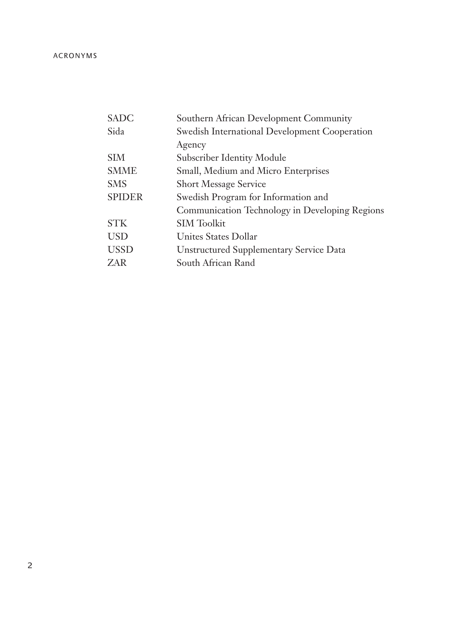| SADC        | Southern African Development Community         |
|-------------|------------------------------------------------|
| Sida        | Swedish International Development Cooperation  |
|             | Agency                                         |
| SIM         | Subscriber Identity Module                     |
| SMME        | Small, Medium and Micro Enterprises            |
| SMS         | <b>Short Message Service</b>                   |
| SPIDER      | Swedish Program for Information and            |
|             | Communication Technology in Developing Regions |
| <b>STK</b>  | <b>SIM Toolkit</b>                             |
| USD         | Unites States Dollar                           |
| <b>USSD</b> | <b>Unstructured Supplementary Service Data</b> |
| ZAR         | South African Rand                             |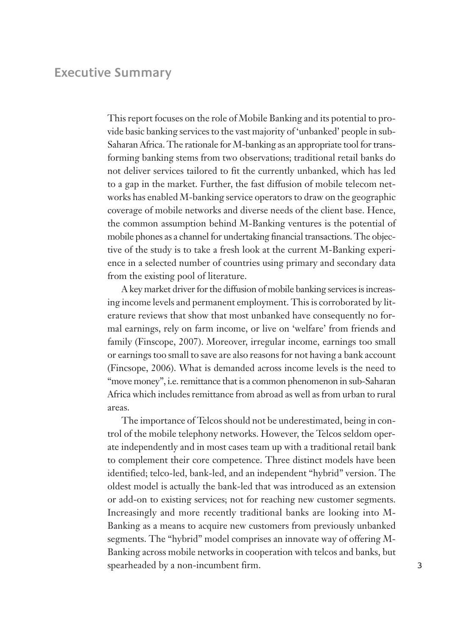# **Executive Summary**

This report focuses on the role of Mobile Banking and its potential to provide basic banking services to the vast majority of 'unbanked' people in sub-Saharan Africa. The rationale for M-banking as an appropriate tool for transforming banking stems from two observations; traditional retail banks do not deliver services tailored to fit the currently unbanked, which has led to a gap in the market. Further, the fast diffusion of mobile telecom networks has enabled M-banking service operators to draw on the geographic coverage of mobile networks and diverse needs of the client base. Hence, the common assumption behind M-Banking ventures is the potential of mobile phones as a channel for undertaking financial transactions. The objective of the study is to take a fresh look at the current M-Banking experience in a selected number of countries using primary and secondary data from the existing pool of literature.

A key market driver for the diffusion of mobile banking services is increasing income levels and permanent employment. This is corroborated by literature reviews that show that most unbanked have consequently no formal earnings, rely on farm income, or live on 'welfare' from friends and family (Finscope, 2007). Moreover, irregular income, earnings too small or earnings too small to save are also reasons for not having a bank account (Fincsope, 2006). What is demanded across income levels is the need to "move money", i.e. remittance that is a common phenomenon in sub-Saharan Africa which includes remittance from abroad as well as from urban to rural areas.

The importance of Telcos should not be underestimated, being in control of the mobile telephony networks. However, the Telcos seldom operate independently and in most cases team up with a traditional retail bank to complement their core competence. Three distinct models have been identified; telco-led, bank-led, and an independent "hybrid" version. The oldest model is actually the bank-led that was introduced as an extension or add-on to existing services; not for reaching new customer segments. Increasingly and more recently traditional banks are looking into M-Banking as a means to acquire new customers from previously unbanked segments. The "hybrid" model comprises an innovate way of offering M-Banking across mobile networks in cooperation with telcos and banks, but spearheaded by a non-incumbent firm. 3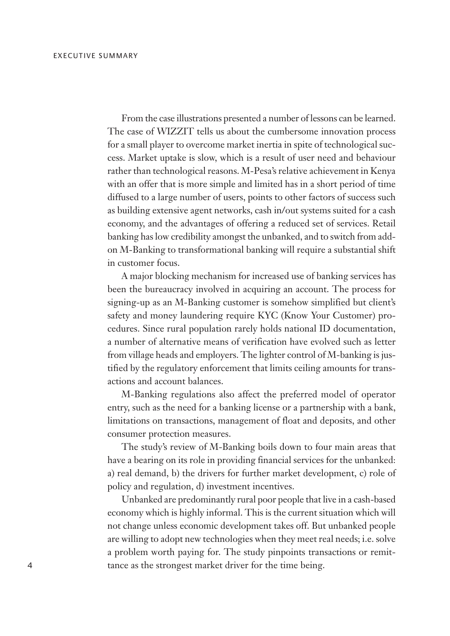From the case illustrations presented a number of lessons can be learned. The case of WIZZIT tells us about the cumbersome innovation process for a small player to overcome market inertia in spite of technological success. Market uptake is slow, which is a result of user need and behaviour rather than technological reasons. M-Pesa's relative achievement in Kenya with an offer that is more simple and limited has in a short period of time diffused to a large number of users, points to other factors of success such as building extensive agent networks, cash in/out systems suited for a cash economy, and the advantages of offering a reduced set of services. Retail banking has low credibility amongst the unbanked, and to switch from addon M-Banking to transformational banking will require a substantial shift in customer focus.

A major blocking mechanism for increased use of banking services has been the bureaucracy involved in acquiring an account. The process for signing-up as an M-Banking customer is somehow simplified but client's safety and money laundering require KYC (Know Your Customer) procedures. Since rural population rarely holds national ID documentation, a number of alternative means of verification have evolved such as letter from village heads and employers. The lighter control of M-banking is justified by the regulatory enforcement that limits ceiling amounts for transactions and account balances.

M-Banking regulations also affect the preferred model of operator entry, such as the need for a banking license or a partnership with a bank, limitations on transactions, management of float and deposits, and other consumer protection measures.

The study's review of M-Banking boils down to four main areas that have a bearing on its role in providing financial services for the unbanked: a) real demand, b) the drivers for further market development, c) role of policy and regulation, d) investment incentives.

Unbanked are predominantly rural poor people that live in a cash-based economy which is highly informal. This is the current situation which will not change unless economic development takes off. But unbanked people are willing to adopt new technologies when they meet real needs; i.e. solve a problem worth paying for. The study pinpoints transactions or remit-4 tance as the strongest market driver for the time being.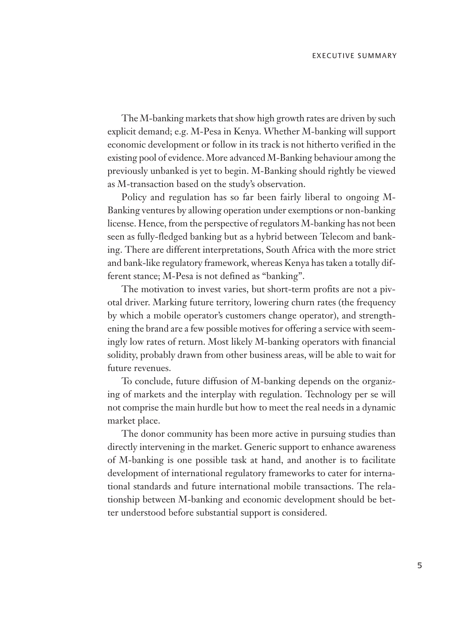The M-banking markets that show high growth rates are driven by such explicit demand; e.g. M-Pesa in Kenya. Whether M-banking will support economic development or follow in its track is not hitherto verified in the existing pool of evidence. More advanced M-Banking behaviour among the previously unbanked is yet to begin. M-Banking should rightly be viewed as M-transaction based on the study's observation.

Policy and regulation has so far been fairly liberal to ongoing M-Banking ventures by allowing operation under exemptions or non-banking license. Hence, from the perspective of regulators M-banking has not been seen as fully-fledged banking but as a hybrid between Telecom and banking. There are different interpretations, South Africa with the more strict and bank-like regulatory framework, whereas Kenya has taken a totally different stance; M-Pesa is not defined as "banking".

The motivation to invest varies, but short-term profits are not a pivotal driver. Marking future territory, lowering churn rates (the frequency by which a mobile operator's customers change operator), and strengthening the brand are a few possible motives for offering a service with seemingly low rates of return. Most likely M-banking operators with financial solidity, probably drawn from other business areas, will be able to wait for future revenues.

To conclude, future diffusion of M-banking depends on the organizing of markets and the interplay with regulation. Technology per se will not comprise the main hurdle but how to meet the real needs in a dynamic market place.

The donor community has been more active in pursuing studies than directly intervening in the market. Generic support to enhance awareness of M-banking is one possible task at hand, and another is to facilitate development of international regulatory frameworks to cater for international standards and future international mobile transactions. The relationship between M-banking and economic development should be better understood before substantial support is considered.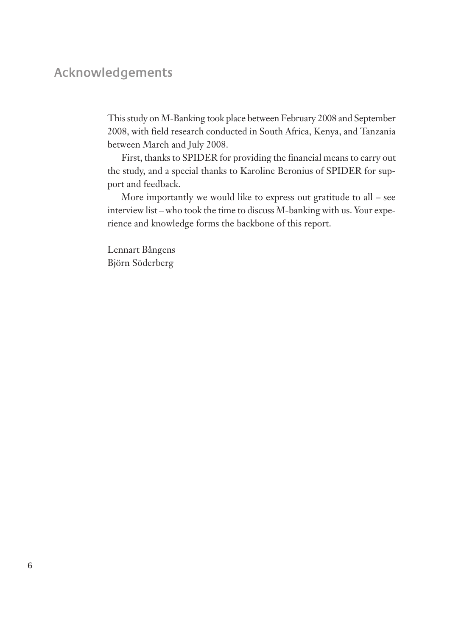# **Acknowledgements**

This study on M-Banking took place between February 2008 and September 2008, with field research conducted in South Africa, Kenya, and Tanzania between March and July 2008.

First, thanks to SPIDER for providing the financial means to carry out the study, and a special thanks to Karoline Beronius of SPIDER for support and feedback.

More importantly we would like to express out gratitude to all – see interview list – who took the time to discuss M-banking with us. Your experience and knowledge forms the backbone of this report.

Lennart Bångens Björn Söderberg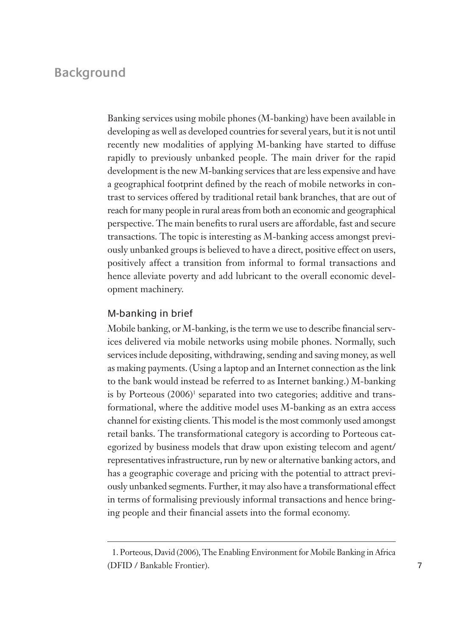# **Background**

Banking services using mobile phones (M-banking) have been available in developing as well as developed countries for several years, but it is not until recently new modalities of applying M-banking have started to diffuse rapidly to previously unbanked people. The main driver for the rapid development is the new M-banking services that are less expensive and have a geographical footprint defined by the reach of mobile networks in contrast to services offered by traditional retail bank branches, that are out of reach for many people in rural areas from both an economic and geographical perspective. The main benefits to rural users are affordable, fast and secure transactions. The topic is interesting as M-banking access amongst previously unbanked groups is believed to have a direct, positive effect on users, positively affect a transition from informal to formal transactions and hence alleviate poverty and add lubricant to the overall economic development machinery.

## M-banking in brief

Mobile banking, or M-banking, is the term we use to describe financial services delivered via mobile networks using mobile phones. Normally, such services include depositing, withdrawing, sending and saving money, as well as making payments. (Using a laptop and an Internet connection as the link to the bank would instead be referred to as Internet banking.) M-banking is by Porteous (2006)<sup>1</sup> separated into two categories; additive and transformational, where the additive model uses M-banking as an extra access channel for existing clients. This model is the most commonly used amongst retail banks. The transformational category is according to Porteous categorized by business models that draw upon existing telecom and agent/ representatives infrastructure, run by new or alternative banking actors, and has a geographic coverage and pricing with the potential to attract previously unbanked segments. Further, it may also have a transformational effect in terms of formalising previously informal transactions and hence bringing people and their financial assets into the formal economy.

<sup>1.</sup> Porteous, David (2006), The Enabling Environment for Mobile Banking in Africa (DFID / Bankable Frontier).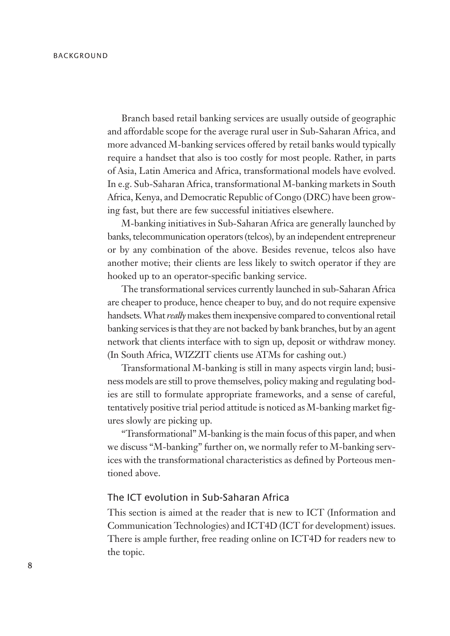Branch based retail banking services are usually outside of geographic and affordable scope for the average rural user in Sub-Saharan Africa, and more advanced M-banking services offered by retail banks would typically require a handset that also is too costly for most people. Rather, in parts of Asia, Latin America and Africa, transformational models have evolved. In e.g. Sub-Saharan Africa, transformational M-banking markets in South Africa, Kenya, and Democratic Republic of Congo (DRC) have been growing fast, but there are few successful initiatives elsewhere.

M-banking initiatives in Sub-Saharan Africa are generally launched by banks, telecommunication operators (telcos), by an independent entrepreneur or by any combination of the above. Besides revenue, telcos also have another motive; their clients are less likely to switch operator if they are hooked up to an operator-specific banking service.

The transformational services currently launched in sub-Saharan Africa are cheaper to produce, hence cheaper to buy, and do not require expensive handsets. What *really* makes them inexpensive compared to conventional retail banking services is that they are not backed by bank branches, but by an agent network that clients interface with to sign up, deposit or withdraw money. (In South Africa, WIZZIT clients use ATMs for cashing out.)

Transformational M-banking is still in many aspects virgin land; business models are still to prove themselves, policy making and regulating bodies are still to formulate appropriate frameworks, and a sense of careful, tentatively positive trial period attitude is noticed as M-banking market figures slowly are picking up.

"Transformational" M-banking is the main focus of this paper, and when we discuss "M-banking" further on, we normally refer to M-banking services with the transformational characteristics as defined by Porteous mentioned above.

# The ICT evolution in Sub-Saharan Africa

This section is aimed at the reader that is new to ICT (Information and Communication Technologies) and ICT4D (ICT for development) issues. There is ample further, free reading online on ICT4D for readers new to the topic.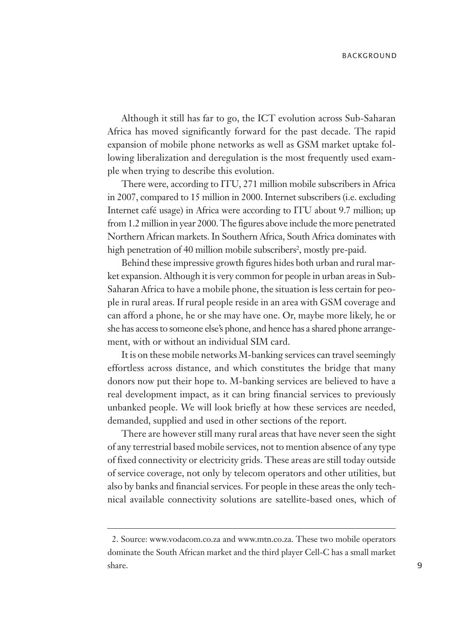Although it still has far to go, the ICT evolution across Sub-Saharan Africa has moved significantly forward for the past decade. The rapid expansion of mobile phone networks as well as GSM market uptake following liberalization and deregulation is the most frequently used example when trying to describe this evolution.

There were, according to ITU, 271 million mobile subscribers in Africa in 2007, compared to 15 million in 2000. Internet subscribers (i.e. excluding Internet café usage) in Africa were according to ITU about 9.7 million; up from 1.2 million in year 2000. The figures above include the more penetrated Northern African markets. In Southern Africa, South Africa dominates with high penetration of 40 million mobile subscribers<sup>2</sup>, mostly pre-paid.

Behind these impressive growth figures hides both urban and rural market expansion. Although it is very common for people in urban areas in Sub-Saharan Africa to have a mobile phone, the situation is less certain for people in rural areas. If rural people reside in an area with GSM coverage and can afford a phone, he or she may have one. Or, maybe more likely, he or she has access to someone else's phone, and hence has a shared phone arrangement, with or without an individual SIM card.

It is on these mobile networks M-banking services can travel seemingly effortless across distance, and which constitutes the bridge that many donors now put their hope to. M-banking services are believed to have a real development impact, as it can bring financial services to previously unbanked people. We will look briefly at how these services are needed, demanded, supplied and used in other sections of the report.

There are however still many rural areas that have never seen the sight of any terrestrial based mobile services, not to mention absence of any type of fixed connectivity or electricity grids. These areas are still today outside of service coverage, not only by telecom operators and other utilities, but also by banks and financial services. For people in these areas the only technical available connectivity solutions are satellite-based ones, which of

<sup>2.</sup> Source: www.vodacom.co.za and www.mtn.co.za. These two mobile operators dominate the South African market and the third player Cell-C has a small market share.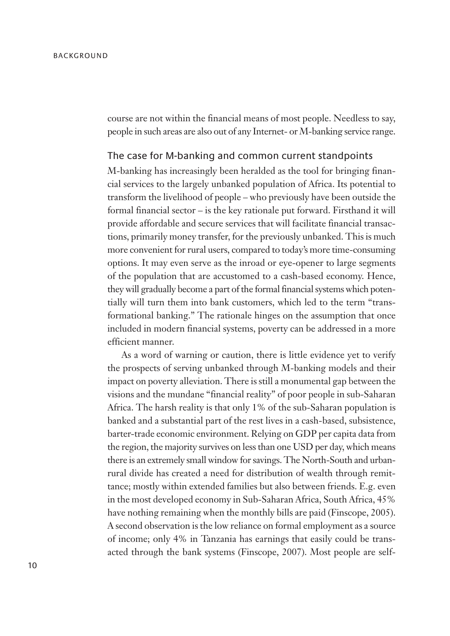course are not within the financial means of most people. Needless to say, people in such areas are also out of any Internet- or M-banking service range.

#### The case for M-banking and common current standpoints

M-banking has increasingly been heralded as the tool for bringing financial services to the largely unbanked population of Africa. Its potential to transform the livelihood of people – who previously have been outside the formal financial sector – is the key rationale put forward. Firsthand it will provide affordable and secure services that will facilitate financial transactions, primarily money transfer, for the previously unbanked. This is much more convenient for rural users, compared to today's more time-consuming options. It may even serve as the inroad or eye-opener to large segments of the population that are accustomed to a cash-based economy. Hence, they will gradually become a part of the formal financial systems which potentially will turn them into bank customers, which led to the term "transformational banking." The rationale hinges on the assumption that once included in modern financial systems, poverty can be addressed in a more efficient manner.

As a word of warning or caution, there is little evidence yet to verify the prospects of serving unbanked through M-banking models and their impact on poverty alleviation. There is still a monumental gap between the visions and the mundane "financial reality" of poor people in sub-Saharan Africa. The harsh reality is that only 1% of the sub-Saharan population is banked and a substantial part of the rest lives in a cash-based, subsistence, barter-trade economic environment. Relying on GDP per capita data from the region, the majority survives on less than one USD per day, which means there is an extremely small window for savings. The North-South and urbanrural divide has created a need for distribution of wealth through remittance; mostly within extended families but also between friends. E.g. even in the most developed economy in Sub-Saharan Africa, South Africa, 45% have nothing remaining when the monthly bills are paid (Finscope, 2005). A second observation is the low reliance on formal employment as a source of income; only 4% in Tanzania has earnings that easily could be transacted through the bank systems (Finscope, 2007). Most people are self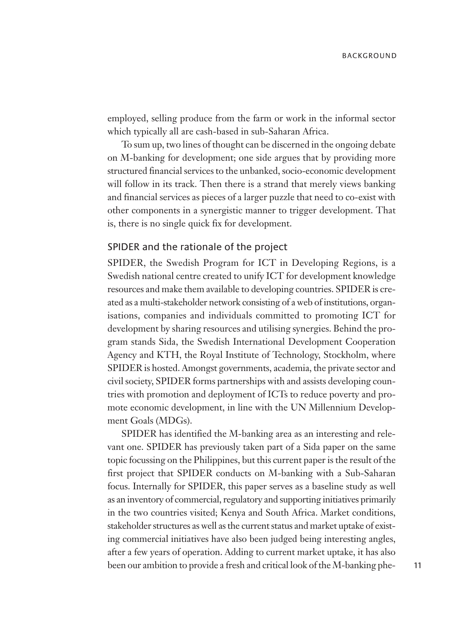employed, selling produce from the farm or work in the informal sector which typically all are cash-based in sub-Saharan Africa.

To sum up, two lines of thought can be discerned in the ongoing debate on M-banking for development; one side argues that by providing more structured financial services to the unbanked, socio-economic development will follow in its track. Then there is a strand that merely views banking and financial services as pieces of a larger puzzle that need to co-exist with other components in a synergistic manner to trigger development. That is, there is no single quick fix for development.

## SPIDER and the rationale of the project

SPIDER, the Swedish Program for ICT in Developing Regions, is a Swedish national centre created to unify ICT for development knowledge resources and make them available to developing countries. SPIDER is created as a multi-stakeholder network consisting of a web of institutions, organisations, companies and individuals committed to promoting ICT for development by sharing resources and utilising synergies. Behind the program stands Sida, the Swedish International Development Cooperation Agency and KTH, the Royal Institute of Technology, Stockholm, where SPIDER is hosted. Amongst governments, academia, the private sector and civil society, SPIDER forms partnerships with and assists developing countries with promotion and deployment of ICTs to reduce poverty and promote economic development, in line with the UN Millennium Development Goals (MDGs).

SPIDER has identified the M-banking area as an interesting and relevant one. SPIDER has previously taken part of a Sida paper on the same topic focussing on the Philippines, but this current paper is the result of the first project that SPIDER conducts on M-banking with a Sub-Saharan focus. Internally for SPIDER, this paper serves as a baseline study as well as an inventory of commercial, regulatory and supporting initiatives primarily in the two countries visited; Kenya and South Africa. Market conditions, stakeholder structures as well as the current status and market uptake of existing commercial initiatives have also been judged being interesting angles, after a few years of operation. Adding to current market uptake, it has also been our ambition to provide a fresh and critical look of the M-banking phe- 11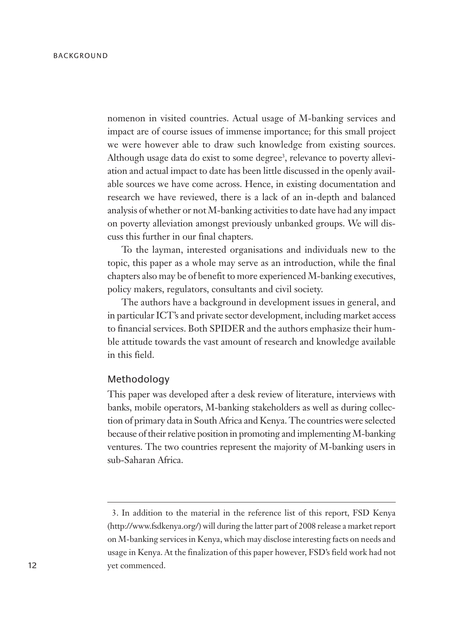nomenon in visited countries. Actual usage of M-banking services and impact are of course issues of immense importance; for this small project we were however able to draw such knowledge from existing sources. Although usage data do exist to some degree<sup>3</sup>, relevance to poverty alleviation and actual impact to date has been little discussed in the openly available sources we have come across. Hence, in existing documentation and research we have reviewed, there is a lack of an in-depth and balanced analysis of whether or not M-banking activities to date have had any impact on poverty alleviation amongst previously unbanked groups. We will discuss this further in our final chapters.

To the layman, interested organisations and individuals new to the topic, this paper as a whole may serve as an introduction, while the final chapters also may be of benefit to more experienced M-banking executives, policy makers, regulators, consultants and civil society.

The authors have a background in development issues in general, and in particular ICT's and private sector development, including market access to financial services. Both SPIDER and the authors emphasize their humble attitude towards the vast amount of research and knowledge available in this field.

### Methodology

This paper was developed after a desk review of literature, interviews with banks, mobile operators, M-banking stakeholders as well as during collection of primary data in South Africa and Kenya. The countries were selected because of their relative position in promoting and implementing M-banking ventures. The two countries represent the majority of M-banking users in sub-Saharan Africa.

<sup>3.</sup> In addition to the material in the reference list of this report, FSD Kenya (http://www.fsdkenya.org/) will during the latter part of 2008 release a market report on M-banking services in Kenya, which may disclose interesting facts on needs and usage in Kenya. At the finalization of this paper however, FSD's field work had not yet commenced.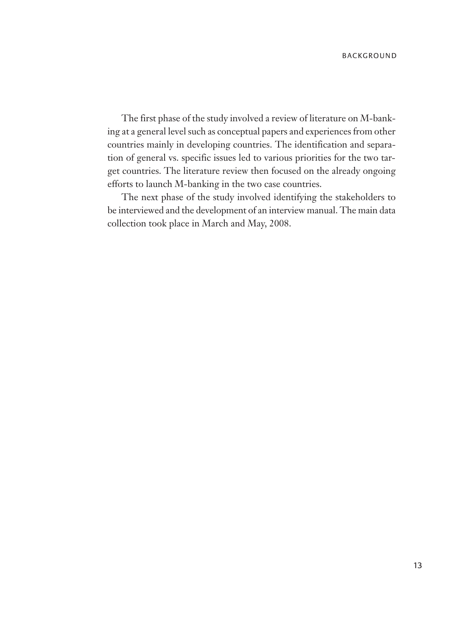The first phase of the study involved a review of literature on M-banking at a general level such as conceptual papers and experiences from other countries mainly in developing countries. The identification and separation of general vs. specific issues led to various priorities for the two target countries. The literature review then focused on the already ongoing efforts to launch M-banking in the two case countries.

The next phase of the study involved identifying the stakeholders to be interviewed and the development of an interview manual. The main data collection took place in March and May, 2008.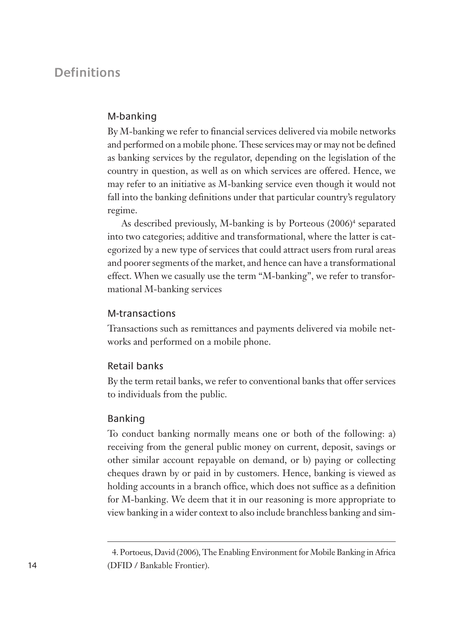# **Definitions**

## M-banking

By M-banking we refer to financial services delivered via mobile networks and performed on a mobile phone. These services may or may not be defined as banking services by the regulator, depending on the legislation of the country in question, as well as on which services are offered. Hence, we may refer to an initiative as M-banking service even though it would not fall into the banking definitions under that particular country's regulatory regime.

As described previously, M-banking is by Porteous (2006)<sup>4</sup> separated into two categories; additive and transformational, where the latter is categorized by a new type of services that could attract users from rural areas and poorer segments of the market, and hence can have a transformational effect. When we casually use the term "M-banking", we refer to transformational M-banking services

## M-transactions

Transactions such as remittances and payments delivered via mobile networks and performed on a mobile phone.

## Retail banks

By the term retail banks, we refer to conventional banks that offer services to individuals from the public.

## Banking

To conduct banking normally means one or both of the following: a) receiving from the general public money on current, deposit, savings or other similar account repayable on demand, or b) paying or collecting cheques drawn by or paid in by customers. Hence, banking is viewed as holding accounts in a branch office, which does not suffice as a definition for M-banking. We deem that it in our reasoning is more appropriate to view banking in a wider context to also include branchless banking and sim-

<sup>4.</sup> Portoeus, David (2006), The Enabling Environment for Mobile Banking in Africa (DFID / Bankable Frontier).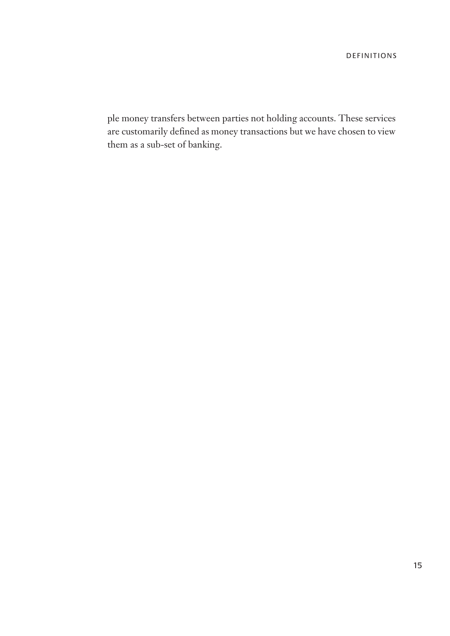ple money transfers between parties not holding accounts. These services are customarily defined as money transactions but we have chosen to view them as a sub-set of banking.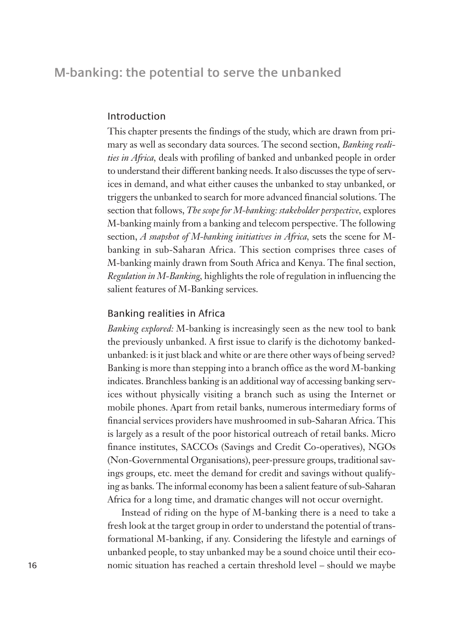# **M-banking: the potential to serve the unbanked**

## Introduction

This chapter presents the findings of the study, which are drawn from primary as well as secondary data sources. The second section, *Banking realities in Africa,* deals with profiling of banked and unbanked people in order to understand their different banking needs. It also discusses the type of services in demand, and what either causes the unbanked to stay unbanked, or triggers the unbanked to search for more advanced financial solutions. The section that follows, *The scope for M-banking: stakeholder perspective*, explores M-banking mainly from a banking and telecom perspective. The following section, *A snapshot of M-banking initiatives in Africa,* sets the scene for Mbanking in sub-Saharan Africa. This section comprises three cases of M-banking mainly drawn from South Africa and Kenya. The final section, *Regulation in M-Banking,* highlights the role of regulation in influencing the salient features of M-Banking services.

## Banking realities in Africa

*Banking explored:* M-banking is increasingly seen as the new tool to bank the previously unbanked. A first issue to clarify is the dichotomy bankedunbanked: is it just black and white or are there other ways of being served? Banking is more than stepping into a branch office as the word M-banking indicates. Branchless banking is an additional way of accessing banking services without physically visiting a branch such as using the Internet or mobile phones. Apart from retail banks, numerous intermediary forms of financial services providers have mushroomed in sub-Saharan Africa. This is largely as a result of the poor historical outreach of retail banks. Micro finance institutes, SACCOs (Savings and Credit Co-operatives), NGOs (Non-Governmental Organisations), peer-pressure groups, traditional savings groups, etc. meet the demand for credit and savings without qualifying as banks. The informal economy has been a salient feature of sub-Saharan Africa for a long time, and dramatic changes will not occur overnight.

Instead of riding on the hype of M-banking there is a need to take a fresh look at the target group in order to understand the potential of transformational M-banking, if any. Considering the lifestyle and earnings of unbanked people, to stay unbanked may be a sound choice until their economic situation has reached a certain threshold level – should we maybe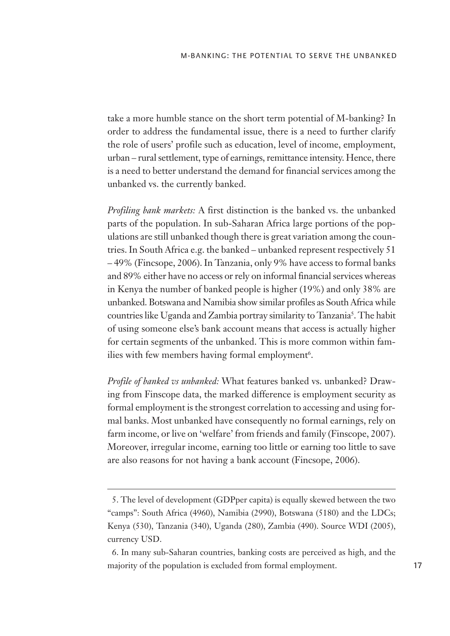take a more humble stance on the short term potential of M-banking? In order to address the fundamental issue, there is a need to further clarify the role of users' profile such as education, level of income, employment, urban – rural settlement, type of earnings, remittance intensity. Hence, there is a need to better understand the demand for financial services among the unbanked vs. the currently banked.

*Profiling bank markets:* A first distinction is the banked vs. the unbanked parts of the population. In sub-Saharan Africa large portions of the populations are still unbanked though there is great variation among the countries. In South Africa e.g. the banked – unbanked represent respectively 51 – 49% (Fincsope, 2006). In Tanzania, only 9% have access to formal banks and 89% either have no access or rely on informal financial services whereas in Kenya the number of banked people is higher (19%) and only 38% are unbanked. Botswana and Namibia show similar profiles as South Africa while countries like Uganda and Zambia portray similarity to Tanzania<sup>5</sup>. The habit of using someone else's bank account means that access is actually higher for certain segments of the unbanked. This is more common within families with few members having formal employment<sup>6</sup>.

*Profile of banked vs unbanked:* What features banked vs. unbanked? Drawing from Finscope data, the marked difference is employment security as formal employment is the strongest correlation to accessing and using formal banks. Most unbanked have consequently no formal earnings, rely on farm income, or live on 'welfare' from friends and family (Finscope, 2007). Moreover, irregular income, earning too little or earning too little to save are also reasons for not having a bank account (Fincsope, 2006).

<sup>5.</sup> The level of development (GDPper capita) is equally skewed between the two "camps": South Africa (4960), Namibia (2990), Botswana (5180) and the LDCs; Kenya (530), Tanzania (340), Uganda (280), Zambia (490). Source WDI (2005), currency USD.

<sup>6.</sup> In many sub-Saharan countries, banking costs are perceived as high, and the majority of the population is excluded from formal employment.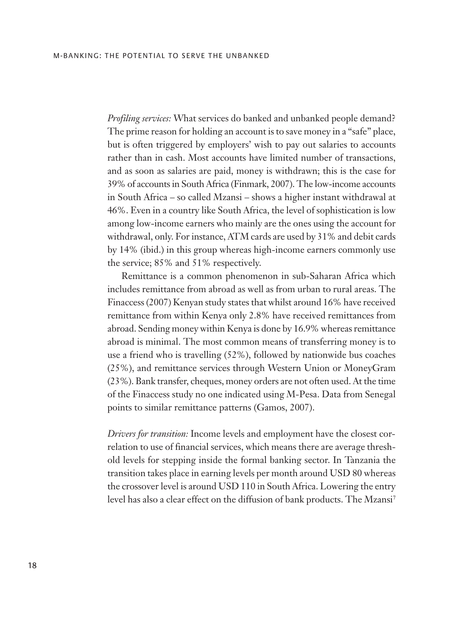*Profiling services:* What services do banked and unbanked people demand? The prime reason for holding an account is to save money in a "safe" place, but is often triggered by employers' wish to pay out salaries to accounts rather than in cash. Most accounts have limited number of transactions, and as soon as salaries are paid, money is withdrawn; this is the case for 39% of accounts in South Africa (Finmark, 2007). The low-income accounts in South Africa – so called Mzansi – shows a higher instant withdrawal at 46%. Even in a country like South Africa, the level of sophistication is low among low-income earners who mainly are the ones using the account for withdrawal, only. For instance, ATM cards are used by 31% and debit cards by 14% (ibid.) in this group whereas high-income earners commonly use the service; 85% and 51% respectively.

Remittance is a common phenomenon in sub-Saharan Africa which includes remittance from abroad as well as from urban to rural areas. The Finaccess (2007) Kenyan study states that whilst around 16% have received remittance from within Kenya only 2.8% have received remittances from abroad. Sending money within Kenya is done by 16.9% whereas remittance abroad is minimal. The most common means of transferring money is to use a friend who is travelling (52%), followed by nationwide bus coaches (25%), and remittance services through Western Union or MoneyGram (23%). Bank transfer, cheques, money orders are not often used. At the time of the Finaccess study no one indicated using M-Pesa. Data from Senegal points to similar remittance patterns (Gamos, 2007).

*Drivers for transition:* Income levels and employment have the closest correlation to use of financial services, which means there are average threshold levels for stepping inside the formal banking sector. In Tanzania the transition takes place in earning levels per month around USD 80 whereas the crossover level is around USD 110 in South Africa. Lowering the entry level has also a clear effect on the diffusion of bank products. The Mzansi<sup>7</sup>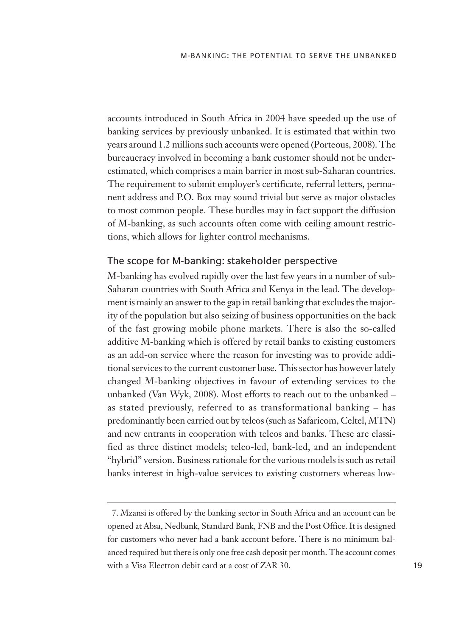accounts introduced in South Africa in 2004 have speeded up the use of banking services by previously unbanked. It is estimated that within two years around 1.2 millions such accounts were opened (Porteous, 2008). The bureaucracy involved in becoming a bank customer should not be underestimated, which comprises a main barrier in most sub-Saharan countries. The requirement to submit employer's certificate, referral letters, permanent address and P.O. Box may sound trivial but serve as major obstacles to most common people. These hurdles may in fact support the diffusion of M-banking, as such accounts often come with ceiling amount restrictions, which allows for lighter control mechanisms.

#### The scope for M-banking: stakeholder perspective

M-banking has evolved rapidly over the last few years in a number of sub-Saharan countries with South Africa and Kenya in the lead. The development is mainly an answer to the gap in retail banking that excludes the majority of the population but also seizing of business opportunities on the back of the fast growing mobile phone markets. There is also the so-called additive M-banking which is offered by retail banks to existing customers as an add-on service where the reason for investing was to provide additional services to the current customer base. This sector has however lately changed M-banking objectives in favour of extending services to the unbanked (Van Wyk, 2008). Most efforts to reach out to the unbanked – as stated previously, referred to as transformational banking – has predominantly been carried out by telcos (such as Safaricom, Celtel, MTN) and new entrants in cooperation with telcos and banks. These are classified as three distinct models; telco-led, bank-led, and an independent "hybrid" version. Business rationale for the various models is such as retail banks interest in high-value services to existing customers whereas low-

<sup>7.</sup> Mzansi is offered by the banking sector in South Africa and an account can be opened at Absa, Nedbank, Standard Bank, FNB and the Post Office. It is designed for customers who never had a bank account before. There is no minimum balanced required but there is only one free cash deposit per month. The account comes with a Visa Electron debit card at a cost of ZAR 30.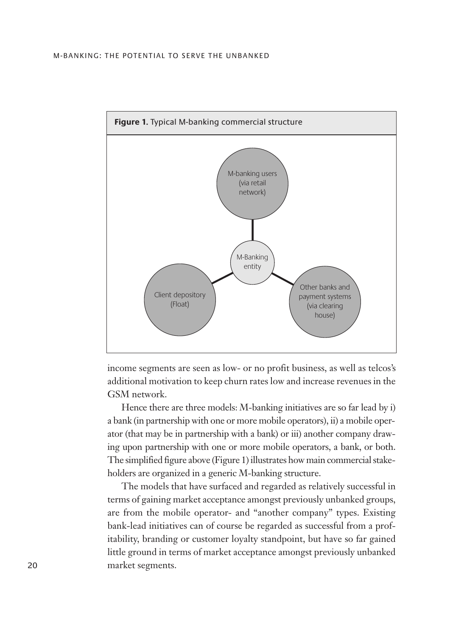#### M-BANKING: THE POTENTIAL TO SERVE THE UNBANKED



income segments are seen as low- or no profit business, as well as telcos's additional motivation to keep churn rates low and increase revenues in the GSM network.

Hence there are three models: M-banking initiatives are so far lead by i) a bank (in partnership with one or more mobile operators), ii) a mobile operator (that may be in partnership with a bank) or iii) another company drawing upon partnership with one or more mobile operators, a bank, or both. The simplified figure above (Figure 1) illustrates how main commercial stakeholders are organized in a generic M-banking structure.

The models that have surfaced and regarded as relatively successful in terms of gaining market acceptance amongst previously unbanked groups, are from the mobile operator- and "another company" types. Existing bank-lead initiatives can of course be regarded as successful from a profitability, branding or customer loyalty standpoint, but have so far gained little ground in terms of market acceptance amongst previously unbanked 20 market segments.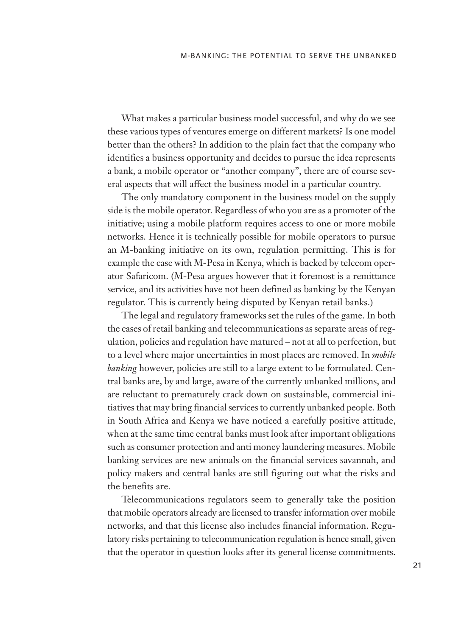What makes a particular business model successful, and why do we see these various types of ventures emerge on different markets? Is one model better than the others? In addition to the plain fact that the company who identifies a business opportunity and decides to pursue the idea represents a bank, a mobile operator or "another company", there are of course several aspects that will affect the business model in a particular country.

The only mandatory component in the business model on the supply side is the mobile operator. Regardless of who you are as a promoter of the initiative; using a mobile platform requires access to one or more mobile networks. Hence it is technically possible for mobile operators to pursue an M-banking initiative on its own, regulation permitting. This is for example the case with M-Pesa in Kenya, which is backed by telecom operator Safaricom. (M-Pesa argues however that it foremost is a remittance service, and its activities have not been defined as banking by the Kenyan regulator. This is currently being disputed by Kenyan retail banks.)

The legal and regulatory frameworks set the rules of the game. In both the cases of retail banking and telecommunications as separate areas of regulation, policies and regulation have matured – not at all to perfection, but to a level where major uncertainties in most places are removed. In *mobile banking* however, policies are still to a large extent to be formulated. Central banks are, by and large, aware of the currently unbanked millions, and are reluctant to prematurely crack down on sustainable, commercial initiatives that may bring financial services to currently unbanked people. Both in South Africa and Kenya we have noticed a carefully positive attitude, when at the same time central banks must look after important obligations such as consumer protection and anti money laundering measures. Mobile banking services are new animals on the financial services savannah, and policy makers and central banks are still figuring out what the risks and the benefits are.

Telecommunications regulators seem to generally take the position that mobile operators already are licensed to transfer information over mobile networks, and that this license also includes financial information. Regulatory risks pertaining to telecommunication regulation is hence small, given that the operator in question looks after its general license commitments.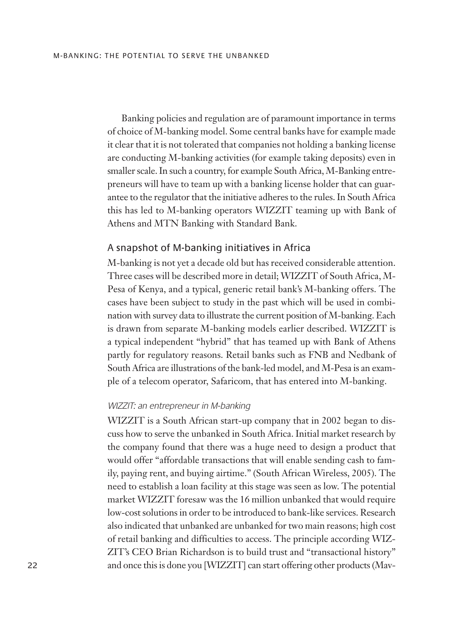Banking policies and regulation are of paramount importance in terms of choice of M-banking model. Some central banks have for example made it clear that it is not tolerated that companies not holding a banking license are conducting M-banking activities (for example taking deposits) even in smaller scale. In such a country, for example South Africa, M-Banking entrepreneurs will have to team up with a banking license holder that can guarantee to the regulator that the initiative adheres to the rules. In South Africa this has led to M-banking operators WIZZIT teaming up with Bank of Athens and MTN Banking with Standard Bank.

### A snapshot of M-banking initiatives in Africa

M-banking is not yet a decade old but has received considerable attention. Three cases will be described more in detail; WIZZIT of South Africa, M-Pesa of Kenya, and a typical, generic retail bank's M-banking offers. The cases have been subject to study in the past which will be used in combination with survey data to illustrate the current position of M-banking. Each is drawn from separate M-banking models earlier described. WIZZIT is a typical independent "hybrid" that has teamed up with Bank of Athens partly for regulatory reasons. Retail banks such as FNB and Nedbank of South Africa are illustrations of the bank-led model, and M-Pesa is an example of a telecom operator, Safaricom, that has entered into M-banking.

#### WIZZIT: an entrepreneur in M-banking

WIZZIT is a South African start-up company that in 2002 began to discuss how to serve the unbanked in South Africa. Initial market research by the company found that there was a huge need to design a product that would offer "affordable transactions that will enable sending cash to family, paying rent, and buying airtime." (South African Wireless, 2005). The need to establish a loan facility at this stage was seen as low. The potential market WIZZIT foresaw was the 16 million unbanked that would require low-cost solutions in order to be introduced to bank-like services. Research also indicated that unbanked are unbanked for two main reasons; high cost of retail banking and difficulties to access. The principle according WIZ-ZIT's CEO Brian Richardson is to build trust and "transactional history" 22 and once this is done you [WIZZIT] can start offering other products (Mav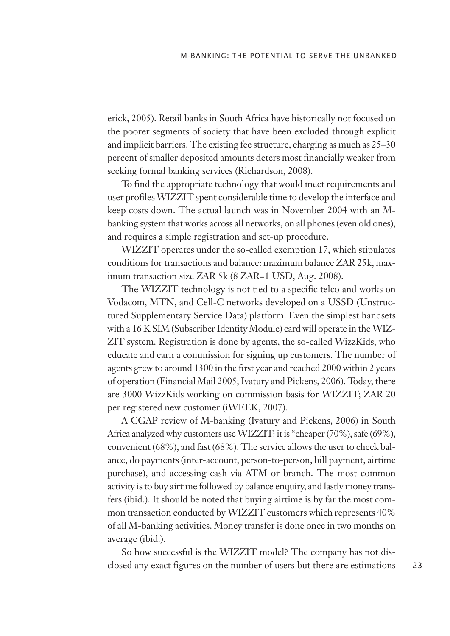erick, 2005). Retail banks in South Africa have historically not focused on the poorer segments of society that have been excluded through explicit and implicit barriers. The existing fee structure, charging as much as 25–30 percent of smaller deposited amounts deters most financially weaker from seeking formal banking services (Richardson, 2008).

To find the appropriate technology that would meet requirements and user profiles WIZZIT spent considerable time to develop the interface and keep costs down. The actual launch was in November 2004 with an Mbanking system that works across all networks, on all phones (even old ones), and requires a simple registration and set-up procedure.

WIZZIT operates under the so-called exemption 17, which stipulates conditions for transactions and balance: maximum balance ZAR 25k, maximum transaction size ZAR 5k (8 ZAR=1 USD, Aug. 2008).

The WIZZIT technology is not tied to a specific telco and works on Vodacom, MTN, and Cell-C networks developed on a USSD (Unstructured Supplementary Service Data) platform. Even the simplest handsets with a 16 K SIM (Subscriber Identity Module) card will operate in the WIZ-ZIT system. Registration is done by agents, the so-called WizzKids, who educate and earn a commission for signing up customers. The number of agents grew to around 1300 in the first year and reached 2000 within 2 years of operation (Financial Mail 2005; Ivatury and Pickens, 2006). Today, there are 3000 WizzKids working on commission basis for WIZZIT; ZAR 20 per registered new customer (iWEEK, 2007).

A CGAP review of M-banking (Ivatury and Pickens, 2006) in South Africa analyzed why customers use WIZZIT: it is "cheaper (70%), safe (69%), convenient (68%), and fast (68%). The service allows the user to check balance, do payments (inter-account, person-to-person, bill payment, airtime purchase), and accessing cash via ATM or branch. The most common activity is to buy airtime followed by balance enquiry, and lastly money transfers (ibid.). It should be noted that buying airtime is by far the most common transaction conducted by WIZZIT customers which represents 40% of all M-banking activities. Money transfer is done once in two months on average (ibid.).

So how successful is the WIZZIT model? The company has not disclosed any exact figures on the number of users but there are estimations 23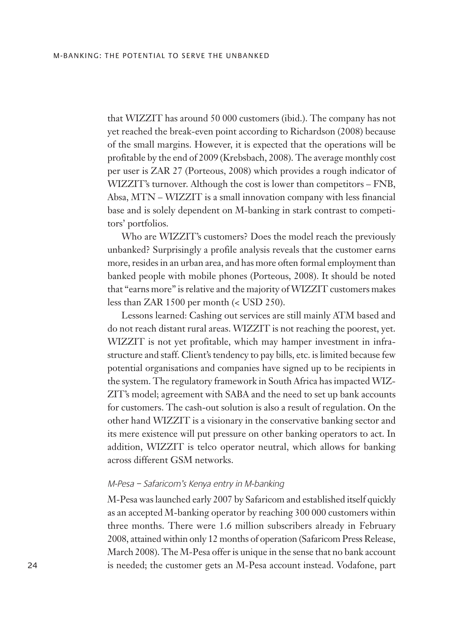that WIZZIT has around 50 000 customers (ibid.). The company has not yet reached the break-even point according to Richardson (2008) because of the small margins. However, it is expected that the operations will be profitable by the end of 2009 (Krebsbach, 2008). The average monthly cost per user is ZAR 27 (Porteous, 2008) which provides a rough indicator of WIZZIT's turnover. Although the cost is lower than competitors – FNB, Absa, MTN – WIZZIT is a small innovation company with less financial base and is solely dependent on M-banking in stark contrast to competitors' portfolios.

Who are WIZZIT's customers? Does the model reach the previously unbanked? Surprisingly a profile analysis reveals that the customer earns more, resides in an urban area, and has more often formal employment than banked people with mobile phones (Porteous, 2008). It should be noted that "earns more" is relative and the majority of WIZZIT customers makes less than ZAR 1500 per month (< USD 250).

Lessons learned: Cashing out services are still mainly ATM based and do not reach distant rural areas. WIZZIT is not reaching the poorest, yet. WIZZIT is not yet profitable, which may hamper investment in infrastructure and staff. Client's tendency to pay bills, etc. is limited because few potential organisations and companies have signed up to be recipients in the system. The regulatory framework in South Africa has impacted WIZ-ZIT's model; agreement with SABA and the need to set up bank accounts for customers. The cash-out solution is also a result of regulation. On the other hand WIZZIT is a visionary in the conservative banking sector and its mere existence will put pressure on other banking operators to act. In addition, WIZZIT is telco operator neutral, which allows for banking across different GSM networks.

#### M-Pesa – Safaricom's Kenya entry in M-banking

M-Pesa was launched early 2007 by Safaricom and established itself quickly as an accepted M-banking operator by reaching 300 000 customers within three months. There were 1.6 million subscribers already in February 2008, attained within only 12 months of operation (Safaricom Press Release, March 2008). The M-Pesa offer is unique in the sense that no bank account 24 is needed; the customer gets an M-Pesa account instead. Vodafone, part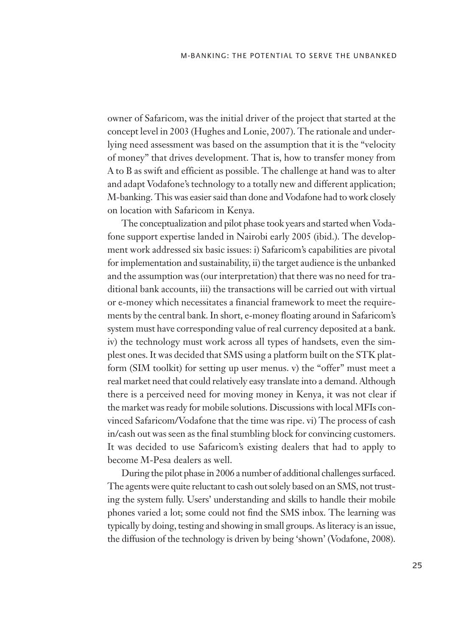owner of Safaricom, was the initial driver of the project that started at the concept level in 2003 (Hughes and Lonie, 2007). The rationale and underlying need assessment was based on the assumption that it is the "velocity of money" that drives development. That is, how to transfer money from A to B as swift and efficient as possible. The challenge at hand was to alter and adapt Vodafone's technology to a totally new and different application; M-banking. This was easier said than done and Vodafone had to work closely on location with Safaricom in Kenya.

The conceptualization and pilot phase took years and started when Vodafone support expertise landed in Nairobi early 2005 (ibid.). The development work addressed six basic issues: i) Safaricom's capabilities are pivotal for implementation and sustainability, ii) the target audience is the unbanked and the assumption was (our interpretation) that there was no need for traditional bank accounts, iii) the transactions will be carried out with virtual or e-money which necessitates a financial framework to meet the requirements by the central bank. In short, e-money floating around in Safaricom's system must have corresponding value of real currency deposited at a bank. iv) the technology must work across all types of handsets, even the simplest ones. It was decided that SMS using a platform built on the STK platform (SIM toolkit) for setting up user menus. v) the "offer" must meet a real market need that could relatively easy translate into a demand. Although there is a perceived need for moving money in Kenya, it was not clear if the market was ready for mobile solutions. Discussions with local MFIs convinced Safaricom/Vodafone that the time was ripe. vi) The process of cash in/cash out was seen as the final stumbling block for convincing customers. It was decided to use Safaricom's existing dealers that had to apply to become M-Pesa dealers as well.

During the pilot phase in 2006 a number of additional challenges surfaced. The agents were quite reluctant to cash out solely based on an SMS, not trusting the system fully. Users' understanding and skills to handle their mobile phones varied a lot; some could not find the SMS inbox. The learning was typically by doing, testing and showing in small groups. As literacy is an issue, the diffusion of the technology is driven by being 'shown' (Vodafone, 2008).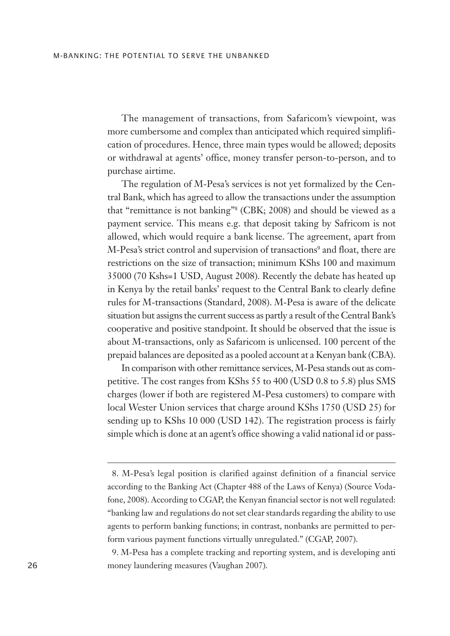The management of transactions, from Safaricom's viewpoint, was more cumbersome and complex than anticipated which required simplification of procedures. Hence, three main types would be allowed; deposits or withdrawal at agents' office, money transfer person-to-person, and to purchase airtime.

The regulation of M-Pesa's services is not yet formalized by the Central Bank, which has agreed to allow the transactions under the assumption that "remittance is not banking"<sup>8</sup> (CBK; 2008) and should be viewed as a payment service. This means e.g. that deposit taking by Safricom is not allowed, which would require a bank license. The agreement, apart from M-Pesa's strict control and supervision of transactions<sup>9</sup> and float, there are restrictions on the size of transaction; minimum KShs 100 and maximum 35000 (70 Kshs=1 USD, August 2008). Recently the debate has heated up in Kenya by the retail banks' request to the Central Bank to clearly define rules for M-transactions (Standard, 2008). M-Pesa is aware of the delicate situation but assigns the current success as partly a result of the Central Bank's cooperative and positive standpoint. It should be observed that the issue is about M-transactions, only as Safaricom is unlicensed. 100 percent of the prepaid balances are deposited as a pooled account at a Kenyan bank (CBA).

In comparison with other remittance services, M-Pesa stands out as competitive. The cost ranges from KShs 55 to 400 (USD 0.8 to 5.8) plus SMS charges (lower if both are registered M-Pesa customers) to compare with local Wester Union services that charge around KShs 1750 (USD 25) for sending up to KShs 10 000 (USD 142). The registration process is fairly simple which is done at an agent's office showing a valid national id or pass-

<sup>8.</sup> M-Pesa's legal position is clarified against definition of a financial service according to the Banking Act (Chapter 488 of the Laws of Kenya) (Source Vodafone, 2008). According to CGAP, the Kenyan financial sector is not well regulated: "banking law and regulations do not set clear standards regarding the ability to use agents to perform banking functions; in contrast, nonbanks are permitted to perform various payment functions virtually unregulated." (CGAP, 2007).

<sup>9.</sup> M-Pesa has a complete tracking and reporting system, and is developing anti money laundering measures (Vaughan 2007).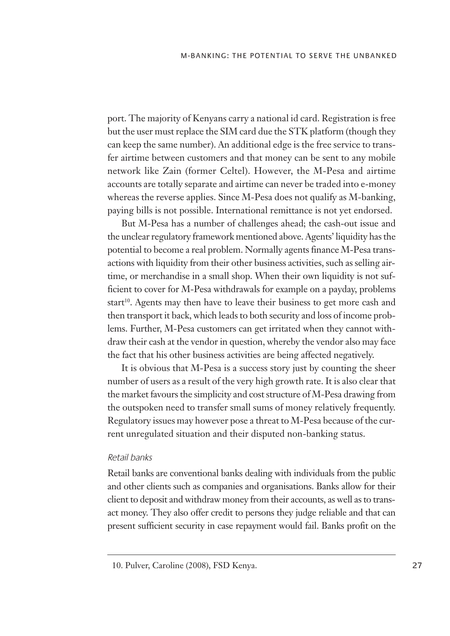port. The majority of Kenyans carry a national id card. Registration is free but the user must replace the SIM card due the STK platform (though they can keep the same number). An additional edge is the free service to transfer airtime between customers and that money can be sent to any mobile network like Zain (former Celtel). However, the M-Pesa and airtime accounts are totally separate and airtime can never be traded into e-money whereas the reverse applies. Since M-Pesa does not qualify as M-banking, paying bills is not possible. International remittance is not yet endorsed.

But M-Pesa has a number of challenges ahead; the cash-out issue and the unclear regulatory framework mentioned above. Agents' liquidity has the potential to become a real problem. Normally agents finance M-Pesa transactions with liquidity from their other business activities, such as selling airtime, or merchandise in a small shop. When their own liquidity is not sufficient to cover for M-Pesa withdrawals for example on a payday, problems start<sup>10</sup>. Agents may then have to leave their business to get more cash and then transport it back, which leads to both security and loss of income problems. Further, M-Pesa customers can get irritated when they cannot withdraw their cash at the vendor in question, whereby the vendor also may face the fact that his other business activities are being affected negatively.

It is obvious that M-Pesa is a success story just by counting the sheer number of users as a result of the very high growth rate. It is also clear that the market favours the simplicity and cost structure of M-Pesa drawing from the outspoken need to transfer small sums of money relatively frequently. Regulatory issues may however pose a threat to M-Pesa because of the current unregulated situation and their disputed non-banking status.

#### Retail banks

Retail banks are conventional banks dealing with individuals from the public and other clients such as companies and organisations. Banks allow for their client to deposit and withdraw money from their accounts, as well as to transact money. They also offer credit to persons they judge reliable and that can present sufficient security in case repayment would fail. Banks profit on the

<sup>10.</sup> Pulver, Caroline (2008), FSD Kenya.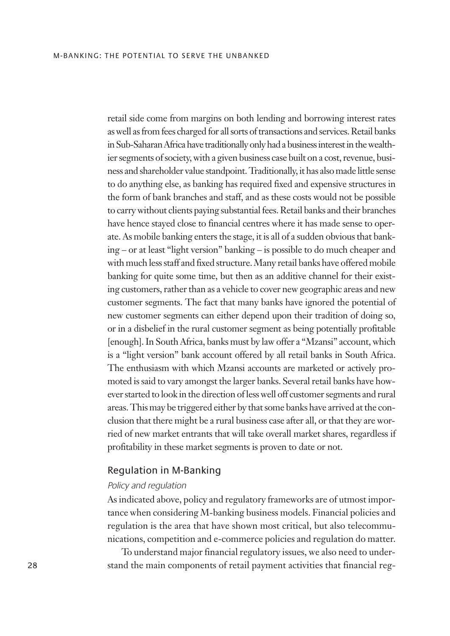retail side come from margins on both lending and borrowing interest rates as well as from fees charged for all sorts of transactions and services. Retail banks in Sub-Saharan Africa have traditionally only had a business interest in the wealthier segments of society, with a given business case built on a cost, revenue, business and shareholder value standpoint. Traditionally, it has also made little sense to do anything else, as banking has required fixed and expensive structures in the form of bank branches and staff, and as these costs would not be possible to carry without clients paying substantial fees. Retail banks and their branches have hence stayed close to financial centres where it has made sense to operate. As mobile banking enters the stage, it is all of a sudden obvious that banking – or at least "light version" banking – is possible to do much cheaper and with much less staff and fixed structure. Many retail banks have offered mobile banking for quite some time, but then as an additive channel for their existing customers, rather than as a vehicle to cover new geographic areas and new customer segments. The fact that many banks have ignored the potential of new customer segments can either depend upon their tradition of doing so, or in a disbelief in the rural customer segment as being potentially profitable [enough]. In South Africa, banks must by law offer a "Mzansi" account, which is a "light version" bank account offered by all retail banks in South Africa. The enthusiasm with which Mzansi accounts are marketed or actively promoted is said to vary amongst the larger banks. Several retail banks have however started to look in the direction of less well off customer segments and rural areas. This may be triggered either by that some banks have arrived at the conclusion that there might be a rural business case after all, or that they are worried of new market entrants that will take overall market shares, regardless if profitability in these market segments is proven to date or not.

#### Regulation in M-Banking

### Policy and regulation

As indicated above, policy and regulatory frameworks are of utmost importance when considering M-banking business models. Financial policies and regulation is the area that have shown most critical, but also telecommunications, competition and e-commerce policies and regulation do matter.

To understand major financial regulatory issues, we also need to under-28 stand the main components of retail payment activities that financial reg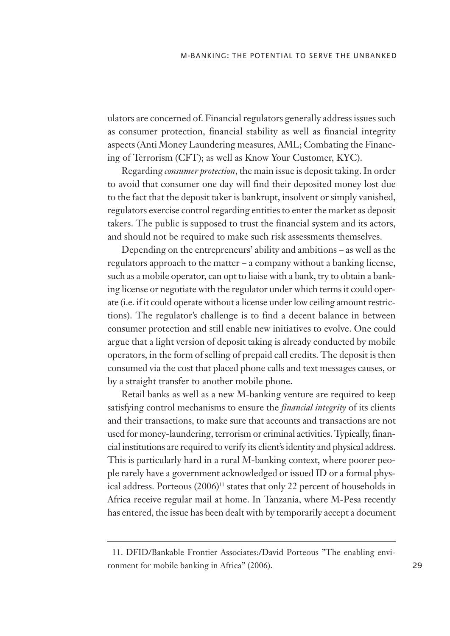ulators are concerned of. Financial regulators generally address issues such as consumer protection, financial stability as well as financial integrity aspects (Anti Money Laundering measures, AML; Combating the Financing of Terrorism (CFT); as well as Know Your Customer, KYC).

Regarding *consumer protection*, the main issue is deposit taking. In order to avoid that consumer one day will find their deposited money lost due to the fact that the deposit taker is bankrupt, insolvent or simply vanished, regulators exercise control regarding entities to enter the market as deposit takers. The public is supposed to trust the financial system and its actors, and should not be required to make such risk assessments themselves.

Depending on the entrepreneurs' ability and ambitions – as well as the regulators approach to the matter – a company without a banking license, such as a mobile operator, can opt to liaise with a bank, try to obtain a banking license or negotiate with the regulator under which terms it could operate (i.e. if it could operate without a license under low ceiling amount restrictions). The regulator's challenge is to find a decent balance in between consumer protection and still enable new initiatives to evolve. One could argue that a light version of deposit taking is already conducted by mobile operators, in the form of selling of prepaid call credits. The deposit is then consumed via the cost that placed phone calls and text messages causes, or by a straight transfer to another mobile phone.

Retail banks as well as a new M-banking venture are required to keep satisfying control mechanisms to ensure the *financial integrity* of its clients and their transactions, to make sure that accounts and transactions are not used for money-laundering, terrorism or criminal activities. Typically, financial institutions are required to verify its client's identity and physical address. This is particularly hard in a rural M-banking context, where poorer people rarely have a government acknowledged or issued ID or a formal physical address. Porteous (2006)<sup>11</sup> states that only 22 percent of households in Africa receive regular mail at home. In Tanzania, where M-Pesa recently has entered, the issue has been dealt with by temporarily accept a document

<sup>11.</sup> DFID/Bankable Frontier Associates:/David Porteous "The enabling environment for mobile banking in Africa" (2006).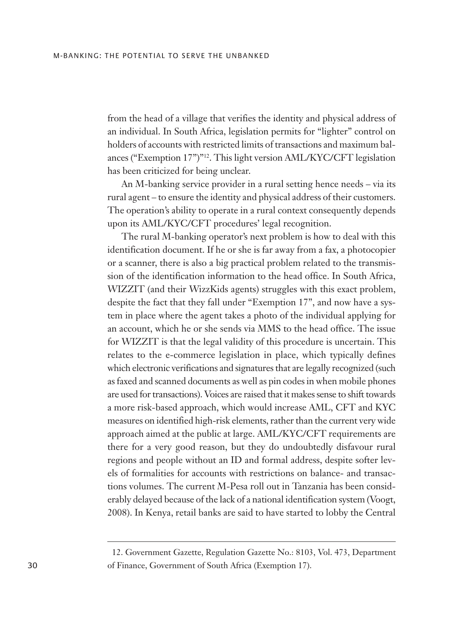from the head of a village that verifies the identity and physical address of an individual. In South Africa, legislation permits for "lighter" control on holders of accounts with restricted limits of transactions and maximum balances ("Exemption 17")"<sup>12</sup>. This light version AML/KYC/CFT legislation has been criticized for being unclear.

An M-banking service provider in a rural setting hence needs – via its rural agent – to ensure the identity and physical address of their customers. The operation's ability to operate in a rural context consequently depends upon its AML/KYC/CFT procedures' legal recognition.

The rural M-banking operator's next problem is how to deal with this identification document. If he or she is far away from a fax, a photocopier or a scanner, there is also a big practical problem related to the transmission of the identification information to the head office. In South Africa, WIZZIT (and their WizzKids agents) struggles with this exact problem, despite the fact that they fall under "Exemption 17", and now have a system in place where the agent takes a photo of the individual applying for an account, which he or she sends via MMS to the head office. The issue for WIZZIT is that the legal validity of this procedure is uncertain. This relates to the e-commerce legislation in place, which typically defines which electronic verifications and signatures that are legally recognized (such as faxed and scanned documents as well as pin codes in when mobile phones are used for transactions). Voices are raised that it makes sense to shift towards a more risk-based approach, which would increase AML, CFT and KYC measures on identified high-risk elements, rather than the current very wide approach aimed at the public at large. AML/KYC/CFT requirements are there for a very good reason, but they do undoubtedly disfavour rural regions and people without an ID and formal address, despite softer levels of formalities for accounts with restrictions on balance- and transactions volumes. The current M-Pesa roll out in Tanzania has been considerably delayed because of the lack of a national identification system (Voogt, 2008). In Kenya, retail banks are said to have started to lobby the Central

<sup>12.</sup> Government Gazette, Regulation Gazette No.: 8103, Vol. 473, Department of Finance, Government of South Africa (Exemption 17).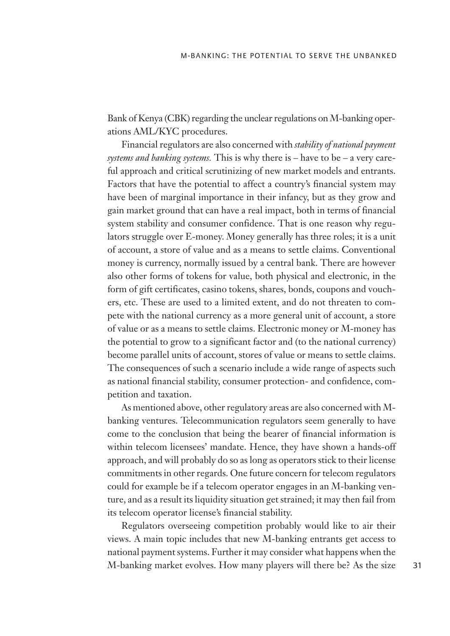Bank of Kenya (CBK) regarding the unclear regulations on M-banking operations AML/KYC procedures.

Financial regulators are also concerned with *stability of national payment systems and banking systems.* This is why there is – have to be – a very careful approach and critical scrutinizing of new market models and entrants. Factors that have the potential to affect a country's financial system may have been of marginal importance in their infancy, but as they grow and gain market ground that can have a real impact, both in terms of financial system stability and consumer confidence. That is one reason why regulators struggle over E-money. Money generally has three roles; it is a unit of account, a store of value and as a means to settle claims. Conventional money is currency, normally issued by a central bank. There are however also other forms of tokens for value, both physical and electronic, in the form of gift certificates, casino tokens, shares, bonds, coupons and vouchers, etc. These are used to a limited extent, and do not threaten to compete with the national currency as a more general unit of account, a store of value or as a means to settle claims. Electronic money or M-money has the potential to grow to a significant factor and (to the national currency) become parallel units of account, stores of value or means to settle claims. The consequences of such a scenario include a wide range of aspects such as national financial stability, consumer protection- and confidence, competition and taxation.

As mentioned above, other regulatory areas are also concerned with Mbanking ventures. Telecommunication regulators seem generally to have come to the conclusion that being the bearer of financial information is within telecom licensees' mandate. Hence, they have shown a hands-off approach, and will probably do so as long as operators stick to their license commitments in other regards. One future concern for telecom regulators could for example be if a telecom operator engages in an M-banking venture, and as a result its liquidity situation get strained; it may then fail from its telecom operator license's financial stability.

Regulators overseeing competition probably would like to air their views. A main topic includes that new M-banking entrants get access to national payment systems. Further it may consider what happens when the M-banking market evolves. How many players will there be? As the size 31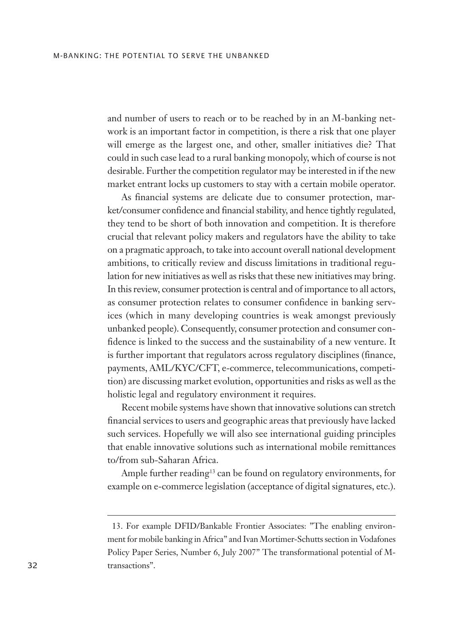and number of users to reach or to be reached by in an M-banking network is an important factor in competition, is there a risk that one player will emerge as the largest one, and other, smaller initiatives die? That could in such case lead to a rural banking monopoly, which of course is not desirable. Further the competition regulator may be interested in if the new market entrant locks up customers to stay with a certain mobile operator.

As financial systems are delicate due to consumer protection, market/consumer confidence and financial stability, and hence tightly regulated, they tend to be short of both innovation and competition. It is therefore crucial that relevant policy makers and regulators have the ability to take on a pragmatic approach, to take into account overall national development ambitions, to critically review and discuss limitations in traditional regulation for new initiatives as well as risks that these new initiatives may bring. In this review, consumer protection is central and of importance to all actors, as consumer protection relates to consumer confidence in banking services (which in many developing countries is weak amongst previously unbanked people). Consequently, consumer protection and consumer confidence is linked to the success and the sustainability of a new venture. It is further important that regulators across regulatory disciplines (finance, payments, AML/KYC/CFT, e-commerce, telecommunications, competition) are discussing market evolution, opportunities and risks as well as the holistic legal and regulatory environment it requires.

Recent mobile systems have shown that innovative solutions can stretch financial services to users and geographic areas that previously have lacked such services. Hopefully we will also see international guiding principles that enable innovative solutions such as international mobile remittances to/from sub-Saharan Africa.

Ample further reading<sup>13</sup> can be found on regulatory environments, for example on e-commerce legislation (acceptance of digital signatures, etc.).

<sup>13.</sup> For example DFID/Bankable Frontier Associates: "The enabling environment for mobile banking in Africa" and Ivan Mortimer-Schutts section in Vodafones Policy Paper Series, Number 6, July 2007" The transformational potential of Mtransactions".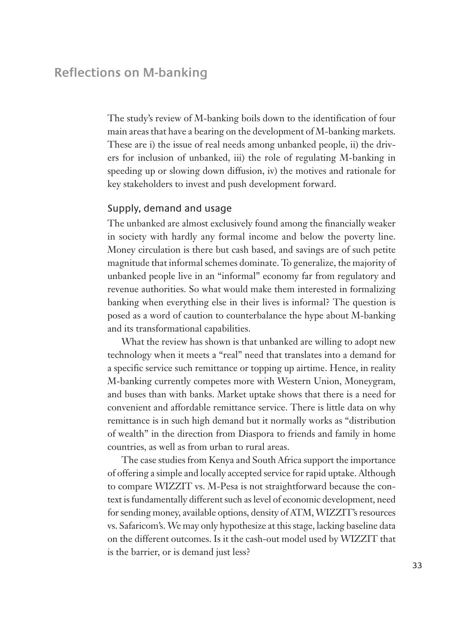The study's review of M-banking boils down to the identification of four main areas that have a bearing on the development of M-banking markets. These are i) the issue of real needs among unbanked people, ii) the drivers for inclusion of unbanked, iii) the role of regulating M-banking in speeding up or slowing down diffusion, iv) the motives and rationale for key stakeholders to invest and push development forward.

## Supply, demand and usage

The unbanked are almost exclusively found among the financially weaker in society with hardly any formal income and below the poverty line. Money circulation is there but cash based, and savings are of such petite magnitude that informal schemes dominate. To generalize, the majority of unbanked people live in an "informal" economy far from regulatory and revenue authorities. So what would make them interested in formalizing banking when everything else in their lives is informal? The question is posed as a word of caution to counterbalance the hype about M-banking and its transformational capabilities.

What the review has shown is that unbanked are willing to adopt new technology when it meets a "real" need that translates into a demand for a specific service such remittance or topping up airtime. Hence, in reality M-banking currently competes more with Western Union, Moneygram, and buses than with banks. Market uptake shows that there is a need for convenient and affordable remittance service. There is little data on why remittance is in such high demand but it normally works as "distribution of wealth" in the direction from Diaspora to friends and family in home countries, as well as from urban to rural areas.

The case studies from Kenya and South Africa support the importance of offering a simple and locally accepted service for rapid uptake. Although to compare WIZZIT vs. M-Pesa is not straightforward because the context is fundamentally different such as level of economic development, need for sending money, available options, density of ATM, WIZZIT's resources vs. Safaricom's. We may only hypothesize at this stage, lacking baseline data on the different outcomes. Is it the cash-out model used by WIZZIT that is the barrier, or is demand just less?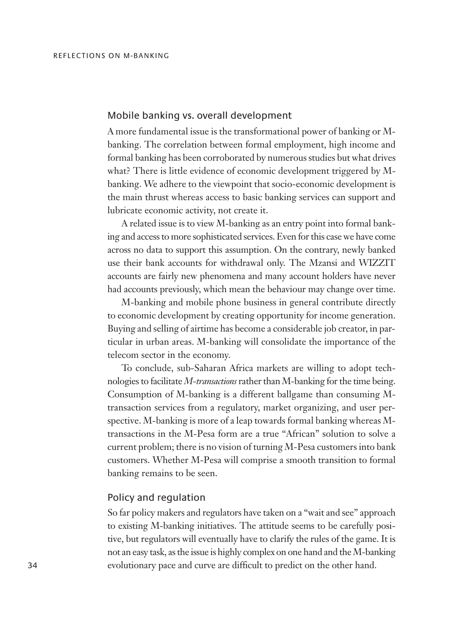### Mobile banking vs. overall development

A more fundamental issue is the transformational power of banking or Mbanking. The correlation between formal employment, high income and formal banking has been corroborated by numerous studies but what drives what? There is little evidence of economic development triggered by Mbanking. We adhere to the viewpoint that socio-economic development is the main thrust whereas access to basic banking services can support and lubricate economic activity, not create it.

A related issue is to view M-banking as an entry point into formal banking and access to more sophisticated services. Even for this case we have come across no data to support this assumption. On the contrary, newly banked use their bank accounts for withdrawal only. The Mzansi and WIZZIT accounts are fairly new phenomena and many account holders have never had accounts previously, which mean the behaviour may change over time.

M-banking and mobile phone business in general contribute directly to economic development by creating opportunity for income generation. Buying and selling of airtime has become a considerable job creator, in particular in urban areas. M-banking will consolidate the importance of the telecom sector in the economy.

To conclude, sub-Saharan Africa markets are willing to adopt technologies to facilitate *M-transactions*rather than M-banking for the time being. Consumption of M-banking is a different ballgame than consuming Mtransaction services from a regulatory, market organizing, and user perspective. M-banking is more of a leap towards formal banking whereas Mtransactions in the M-Pesa form are a true "African" solution to solve a current problem; there is no vision of turning M-Pesa customers into bank customers. Whether M-Pesa will comprise a smooth transition to formal banking remains to be seen.

#### Policy and regulation

So far policy makers and regulators have taken on a "wait and see" approach to existing M-banking initiatives. The attitude seems to be carefully positive, but regulators will eventually have to clarify the rules of the game. It is not an easy task, as the issue is highly complex on one hand and the M-banking 34 evolutionary pace and curve are difficult to predict on the other hand.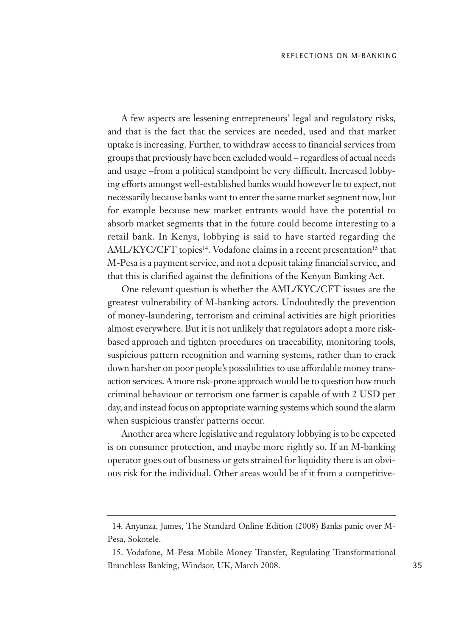A few aspects are lessening entrepreneurs' legal and regulatory risks, and that is the fact that the services are needed, used and that market uptake is increasing. Further, to withdraw access to financial services from groups that previously have been excluded would – regardless of actual needs and usage –from a political standpoint be very difficult. Increased lobbying efforts amongst well-established banks would however be to expect, not necessarily because banks want to enter the same market segment now, but for example because new market entrants would have the potential to absorb market segments that in the future could become interesting to a retail bank. In Kenya, lobbying is said to have started regarding the AML/KYC/CFT topics<sup>14</sup>. Vodafone claims in a recent presentation<sup>15</sup> that M-Pesa is a payment service, and not a deposit taking financial service, and that this is clarified against the definitions of the Kenyan Banking Act.

One relevant question is whether the AML/KYC/CFT issues are the greatest vulnerability of M-banking actors. Undoubtedly the prevention of money-laundering, terrorism and criminal activities are high priorities almost everywhere. But it is not unlikely that regulators adopt a more riskbased approach and tighten procedures on traceability, monitoring tools, suspicious pattern recognition and warning systems, rather than to crack down harsher on poor people's possibilities to use affordable money transaction services. A more risk-prone approach would be to question how much criminal behaviour or terrorism one farmer is capable of with 2 USD per day, and instead focus on appropriate warning systems which sound the alarm when suspicious transfer patterns occur.

Another area where legislative and regulatory lobbying is to be expected is on consumer protection, and maybe more rightly so. If an M-banking operator goes out of business or gets strained for liquidity there is an obvious risk for the individual. Other areas would be if it from a competitive-

<sup>14.</sup> Anyanza, James, The Standard Online Edition (2008) Banks panic over M-Pesa, Sokotele.

<sup>15.</sup> Vodafone, M-Pesa Mobile Money Transfer, Regulating Transformational Branchless Banking, Windsor, UK, March 2008.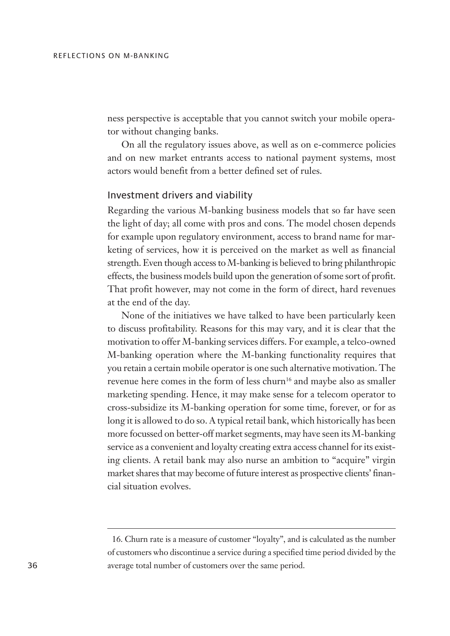ness perspective is acceptable that you cannot switch your mobile operator without changing banks.

On all the regulatory issues above, as well as on e-commerce policies and on new market entrants access to national payment systems, most actors would benefit from a better defined set of rules.

### Investment drivers and viability

Regarding the various M-banking business models that so far have seen the light of day; all come with pros and cons. The model chosen depends for example upon regulatory environment, access to brand name for marketing of services, how it is perceived on the market as well as financial strength. Even though access to M-banking is believed to bring philanthropic effects, the business models build upon the generation of some sort of profit. That profit however, may not come in the form of direct, hard revenues at the end of the day.

None of the initiatives we have talked to have been particularly keen to discuss profitability. Reasons for this may vary, and it is clear that the motivation to offer M-banking services differs. For example, a telco-owned M-banking operation where the M-banking functionality requires that you retain a certain mobile operator is one such alternative motivation. The revenue here comes in the form of less churn<sup>16</sup> and maybe also as smaller marketing spending. Hence, it may make sense for a telecom operator to cross-subsidize its M-banking operation for some time, forever, or for as long it is allowed to do so. A typical retail bank, which historically has been more focussed on better-off market segments, may have seen its M-banking service as a convenient and loyalty creating extra access channel for its existing clients. A retail bank may also nurse an ambition to "acquire" virgin market shares that may become of future interest as prospective clients' financial situation evolves.

<sup>16.</sup> Churn rate is a measure of customer "loyalty", and is calculated as the number of customers who discontinue a service during a specified time period divided by the average total number of customers over the same period.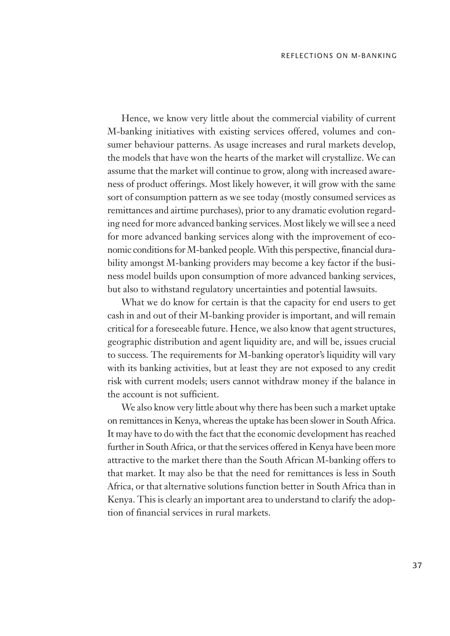Hence, we know very little about the commercial viability of current M-banking initiatives with existing services offered, volumes and consumer behaviour patterns. As usage increases and rural markets develop, the models that have won the hearts of the market will crystallize. We can assume that the market will continue to grow, along with increased awareness of product offerings. Most likely however, it will grow with the same sort of consumption pattern as we see today (mostly consumed services as remittances and airtime purchases), prior to any dramatic evolution regarding need for more advanced banking services. Most likely we will see a need for more advanced banking services along with the improvement of economic conditions for M-banked people. With this perspective, financial durability amongst M-banking providers may become a key factor if the business model builds upon consumption of more advanced banking services, but also to withstand regulatory uncertainties and potential lawsuits.

What we do know for certain is that the capacity for end users to get cash in and out of their M-banking provider is important, and will remain critical for a foreseeable future. Hence, we also know that agent structures, geographic distribution and agent liquidity are, and will be, issues crucial to success. The requirements for M-banking operator's liquidity will vary with its banking activities, but at least they are not exposed to any credit risk with current models; users cannot withdraw money if the balance in the account is not sufficient.

We also know very little about why there has been such a market uptake on remittances in Kenya, whereas the uptake has been slower in South Africa. It may have to do with the fact that the economic development has reached further in South Africa, or that the services offered in Kenya have been more attractive to the market there than the South African M-banking offers to that market. It may also be that the need for remittances is less in South Africa, or that alternative solutions function better in South Africa than in Kenya. This is clearly an important area to understand to clarify the adoption of financial services in rural markets.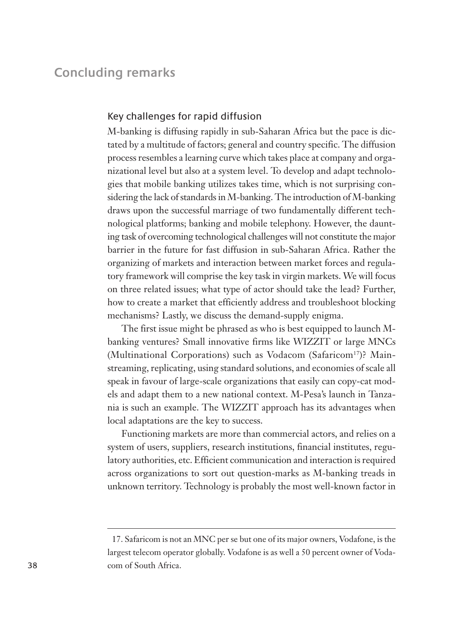# **Concluding remarks**

#### Key challenges for rapid diffusion

M-banking is diffusing rapidly in sub-Saharan Africa but the pace is dictated by a multitude of factors; general and country specific. The diffusion process resembles a learning curve which takes place at company and organizational level but also at a system level. To develop and adapt technologies that mobile banking utilizes takes time, which is not surprising considering the lack of standards in M-banking. The introduction of M-banking draws upon the successful marriage of two fundamentally different technological platforms; banking and mobile telephony. However, the daunting task of overcoming technological challenges will not constitute the major barrier in the future for fast diffusion in sub-Saharan Africa. Rather the organizing of markets and interaction between market forces and regulatory framework will comprise the key task in virgin markets. We will focus on three related issues; what type of actor should take the lead? Further, how to create a market that efficiently address and troubleshoot blocking mechanisms? Lastly, we discuss the demand-supply enigma.

The first issue might be phrased as who is best equipped to launch Mbanking ventures? Small innovative firms like WIZZIT or large MNCs (Multinational Corporations) such as Vodacom (Safaricom<sup>17</sup>)? Mainstreaming, replicating, using standard solutions, and economies of scale all speak in favour of large-scale organizations that easily can copy-cat models and adapt them to a new national context. M-Pesa's launch in Tanzania is such an example. The WIZZIT approach has its advantages when local adaptations are the key to success.

Functioning markets are more than commercial actors, and relies on a system of users, suppliers, research institutions, financial institutes, regulatory authorities, etc. Efficient communication and interaction is required across organizations to sort out question-marks as M-banking treads in unknown territory. Technology is probably the most well-known factor in

<sup>17.</sup> Safaricom is not an MNC per se but one of its major owners, Vodafone, is the largest telecom operator globally. Vodafone is as well a 50 percent owner of Vodacom of South Africa.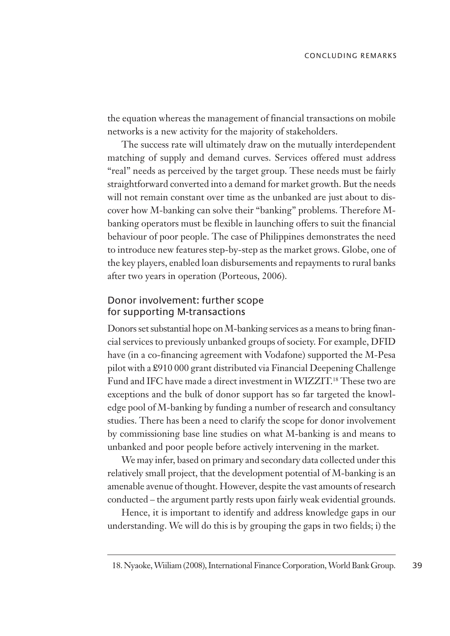the equation whereas the management of financial transactions on mobile networks is a new activity for the majority of stakeholders.

The success rate will ultimately draw on the mutually interdependent matching of supply and demand curves. Services offered must address "real" needs as perceived by the target group. These needs must be fairly straightforward converted into a demand for market growth. But the needs will not remain constant over time as the unbanked are just about to discover how M-banking can solve their "banking" problems. Therefore Mbanking operators must be flexible in launching offers to suit the financial behaviour of poor people. The case of Philippines demonstrates the need to introduce new features step-by-step as the market grows. Globe, one of the key players, enabled loan disbursements and repayments to rural banks after two years in operation (Porteous, 2006).

## Donor involvement: further scope for supporting M-transactions

Donors set substantial hope on M-banking services as a means to bring financial services to previously unbanked groups of society. For example, DFID have (in a co-financing agreement with Vodafone) supported the M-Pesa pilot with a £910 000 grant distributed via Financial Deepening Challenge Fund and IFC have made a direct investment in WIZZIT.<sup>18</sup> These two are exceptions and the bulk of donor support has so far targeted the knowledge pool of M-banking by funding a number of research and consultancy studies. There has been a need to clarify the scope for donor involvement by commissioning base line studies on what M-banking is and means to unbanked and poor people before actively intervening in the market.

We may infer, based on primary and secondary data collected under this relatively small project, that the development potential of M-banking is an amenable avenue of thought. However, despite the vast amounts of research conducted – the argument partly rests upon fairly weak evidential grounds.

Hence, it is important to identify and address knowledge gaps in our understanding. We will do this is by grouping the gaps in two fields; i) the

<sup>39</sup> 18. Nyaoke, Wiiliam (2008), International Finance Corporation, World Bank Group.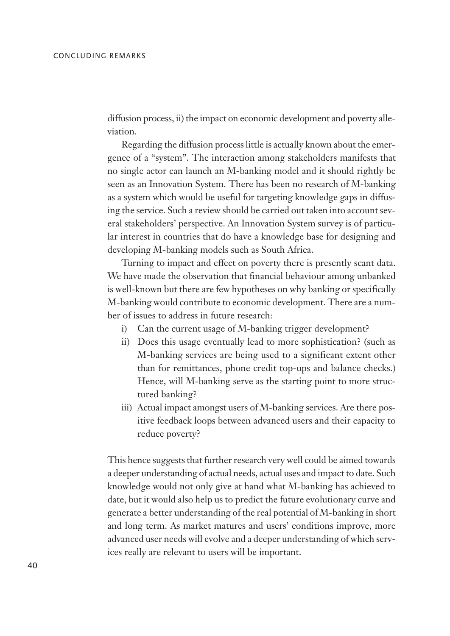diffusion process, ii) the impact on economic development and poverty alleviation.

Regarding the diffusion process little is actually known about the emergence of a "system". The interaction among stakeholders manifests that no single actor can launch an M-banking model and it should rightly be seen as an Innovation System. There has been no research of M-banking as a system which would be useful for targeting knowledge gaps in diffusing the service. Such a review should be carried out taken into account several stakeholders' perspective. An Innovation System survey is of particular interest in countries that do have a knowledge base for designing and developing M-banking models such as South Africa.

Turning to impact and effect on poverty there is presently scant data. We have made the observation that financial behaviour among unbanked is well-known but there are few hypotheses on why banking or specifically M-banking would contribute to economic development. There are a number of issues to address in future research:

- i) Can the current usage of M-banking trigger development?
- ii) Does this usage eventually lead to more sophistication? (such as M-banking services are being used to a significant extent other than for remittances, phone credit top-ups and balance checks.) Hence, will M-banking serve as the starting point to more structured banking?
- iii) Actual impact amongst users of M-banking services. Are there positive feedback loops between advanced users and their capacity to reduce poverty?

This hence suggests that further research very well could be aimed towards a deeper understanding of actual needs, actual uses and impact to date. Such knowledge would not only give at hand what M-banking has achieved to date, but it would also help us to predict the future evolutionary curve and generate a better understanding of the real potential of M-banking in short and long term. As market matures and users' conditions improve, more advanced user needs will evolve and a deeper understanding of which services really are relevant to users will be important.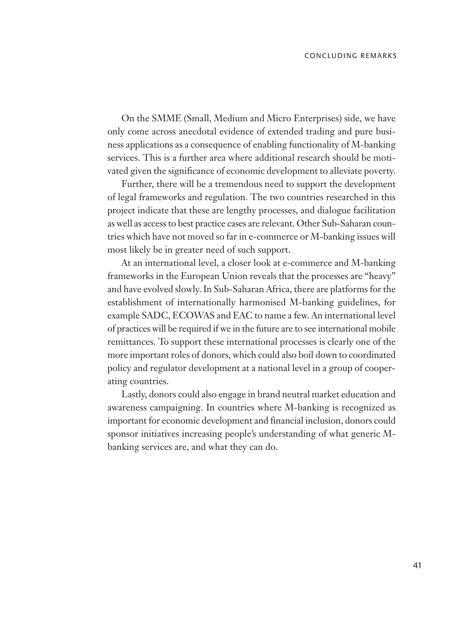On the SMME (Small, Medium and Micro Enterprises) side, we have only come across anecdotal evidence of extended trading and pure business applications as a consequence of enabling functionality of M-banking services. This is a further area where additional research should be motivated given the significance of economic development to alleviate poverty.

Further, there will be a tremendous need to support the development of legal frameworks and regulation. The two countries researched in this project indicate that these are lengthy processes, and dialogue facilitation as well as access to best practice cases are relevant. Other Sub-Saharan countries which have not moved so far in e-commerce or M-banking issues will most likely be in greater need of such support.

At an international level, a closer look at e-commerce and M-banking frameworks in the European Union reveals that the processes are "heavy" and have evolved slowly. In Sub-Saharan Africa, there are platforms for the establishment of internationally harmonised M-banking guidelines, for example SADC, ECOWAS and EAC to name a few. An international level of practices will be required if we in the future are to see international mobile remittances. To support these international processes is clearly one of the more important roles of donors, which could also boil down to coordinated policy and regulator development at a national level in a group of cooperating countries.

Lastly, donors could also engage in brand neutral market education and awareness campaigning. In countries where M-banking is recognized as important for economic development and financial inclusion, donors could sponsor initiatives increasing people's understanding of what generic Mbanking services are, and what they can do.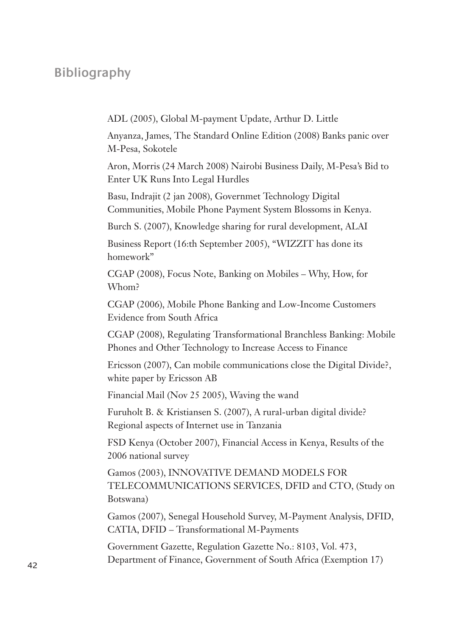# **Bibliography**

ADL (2005), Global M-payment Update, Arthur D. Little

Anyanza, James, The Standard Online Edition (2008) Banks panic over M-Pesa, Sokotele

Aron, Morris (24 March 2008) Nairobi Business Daily, M-Pesa's Bid to Enter UK Runs Into Legal Hurdles

Basu, Indrajit (2 jan 2008), Governmet Technology Digital Communities, Mobile Phone Payment System Blossoms in Kenya.

Burch S. (2007), Knowledge sharing for rural development, ALAI

Business Report (16:th September 2005), "WIZZIT has done its homework"

CGAP (2008), Focus Note, Banking on Mobiles – Why, How, for Whom?

CGAP (2006), Mobile Phone Banking and Low-Income Customers Evidence from South Africa

CGAP (2008), Regulating Transformational Branchless Banking: Mobile Phones and Other Technology to Increase Access to Finance

Ericsson (2007), Can mobile communications close the Digital Divide?, white paper by Ericsson AB

Financial Mail (Nov 25 2005), Waving the wand

Furuholt B. & Kristiansen S. (2007), A rural-urban digital divide? Regional aspects of Internet use in Tanzania

FSD Kenya (October 2007), Financial Access in Kenya, Results of the 2006 national survey

Gamos (2003), INNOVATIVE DEMAND MODELS FOR TELECOMMUNICATIONS SERVICES, DFID and CTO, (Study on Botswana)

Gamos (2007), Senegal Household Survey, M-Payment Analysis, DFID, CATIA, DFID – Transformational M-Payments

Government Gazette, Regulation Gazette No.: 8103, Vol. 473, Department of Finance, Government of South Africa (Exemption 17) <sup>42</sup>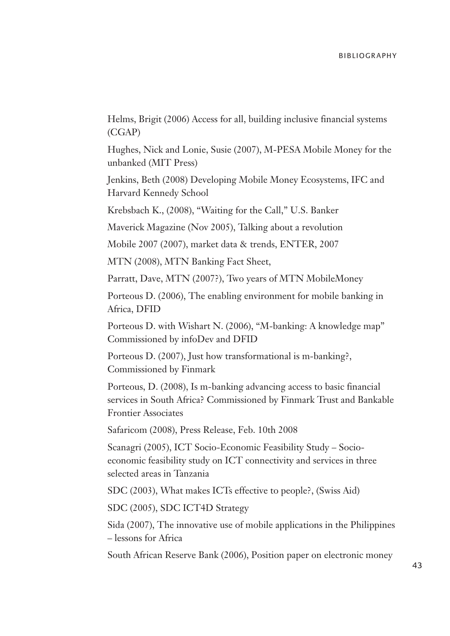Helms, Brigit (2006) Access for all, building inclusive financial systems (CGAP)

Hughes, Nick and Lonie, Susie (2007), M-PESA Mobile Money for the unbanked (MIT Press)

Jenkins, Beth (2008) Developing Mobile Money Ecosystems, IFC and Harvard Kennedy School

Krebsbach K., (2008), "Waiting for the Call," U.S. Banker

Maverick Magazine (Nov 2005), Talking about a revolution

Mobile 2007 (2007), market data & trends, ENTER, 2007

MTN (2008), MTN Banking Fact Sheet,

Parratt, Dave, MTN (2007?), Two years of MTN MobileMoney

Porteous D. (2006), The enabling environment for mobile banking in Africa, DFID

Porteous D. with Wishart N. (2006), "M-banking: A knowledge map" Commissioned by infoDev and DFID

Porteous D. (2007), Just how transformational is m-banking?, Commissioned by Finmark

Porteous, D. (2008), Is m-banking advancing access to basic financial services in South Africa? Commissioned by Finmark Trust and Bankable Frontier Associates

Safaricom (2008), Press Release, Feb. 10th 2008

Scanagri (2005), ICT Socio-Economic Feasibility Study – Socioeconomic feasibility study on ICT connectivity and services in three selected areas in Tanzania

SDC (2003), What makes ICTs effective to people?, (Swiss Aid)

SDC (2005), SDC ICT4D Strategy

Sida (2007), The innovative use of mobile applications in the Philippines – lessons for Africa

South African Reserve Bank (2006), Position paper on electronic money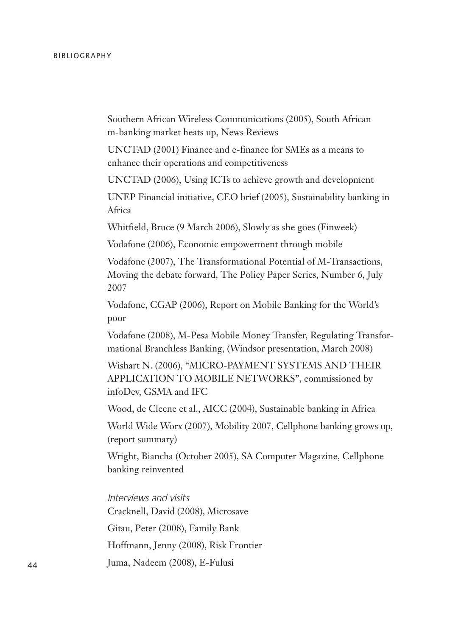Southern African Wireless Communications (2005), South African m-banking market heats up, News Reviews

UNCTAD (2001) Finance and e-finance for SMEs as a means to enhance their operations and competitiveness

UNCTAD (2006), Using ICTs to achieve growth and development

UNEP Financial initiative, CEO brief (2005), Sustainability banking in Africa

Whitfield, Bruce (9 March 2006), Slowly as she goes (Finweek)

Vodafone (2006), Economic empowerment through mobile

Vodafone (2007), The Transformational Potential of M-Transactions, Moving the debate forward, The Policy Paper Series, Number 6, July 2007

Vodafone, CGAP (2006), Report on Mobile Banking for the World's poor

Vodafone (2008), M-Pesa Mobile Money Transfer, Regulating Transformational Branchless Banking, (Windsor presentation, March 2008)

Wishart N. (2006), "MICRO-PAYMENT SYSTEMS AND THEIR APPLICATION TO MOBILE NETWORKS", commissioned by infoDev, GSMA and IFC

Wood, de Cleene et al., AICC (2004), Sustainable banking in Africa

World Wide Worx (2007), Mobility 2007, Cellphone banking grows up, (report summary)

Wright, Biancha (October 2005), SA Computer Magazine, Cellphone banking reinvented

Interviews and visits Cracknell, David (2008), Microsave Gitau, Peter (2008), Family Bank Hoffmann, Jenny (2008), Risk Frontier Juma, Nadeem (2008), E-Fulusi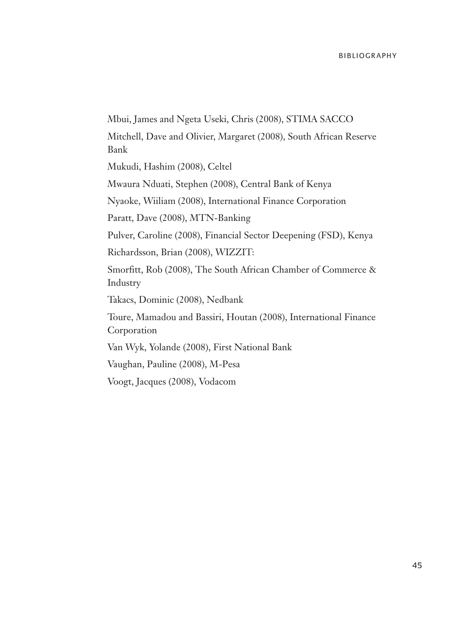Mbui, James and Ngeta Useki, Chris (2008), STIMA SACCO Mitchell, Dave and Olivier, Margaret (2008), South African Reserve Bank Mukudi, Hashim (2008), Celtel Mwaura Nduati, Stephen (2008), Central Bank of Kenya Nyaoke, Wiiliam (2008), International Finance Corporation Paratt, Dave (2008), MTN-Banking Pulver, Caroline (2008), Financial Sector Deepening (FSD), Kenya Richardsson, Brian (2008), WIZZIT: Smorfitt, Rob (2008), The South African Chamber of Commerce & Industry Takacs, Dominic (2008), Nedbank Toure, Mamadou and Bassiri, Houtan (2008), International Finance Corporation Van Wyk, Yolande (2008), First National Bank Vaughan, Pauline (2008), M-Pesa Voogt, Jacques (2008), Vodacom